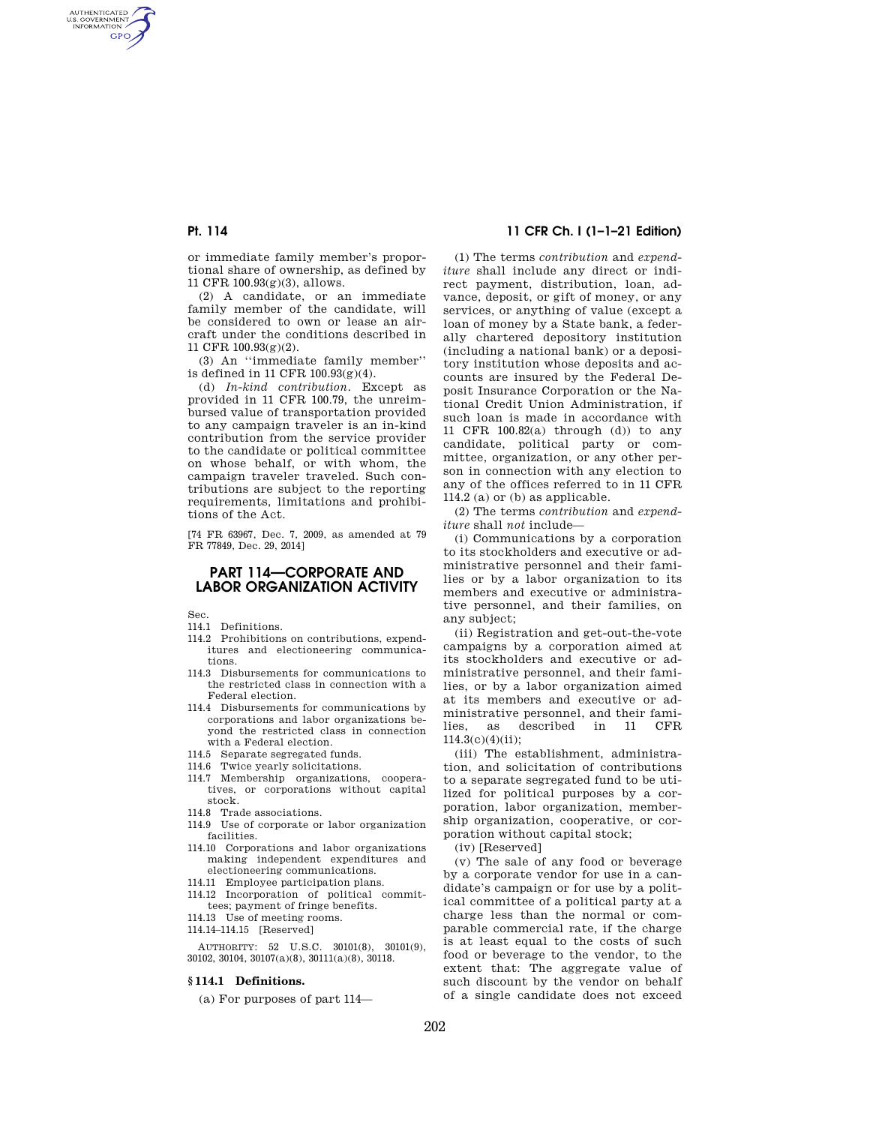AUTHENTICATED<br>U.S. GOVERNMENT<br>INFORMATION **GPO** 

> or immediate family member's proportional share of ownership, as defined by 11 CFR 100.93(g)(3), allows.

(2) A candidate, or an immediate family member of the candidate, will be considered to own or lease an aircraft under the conditions described in 11 CFR 100.93(g)(2).

(3) An ''immediate family member'' is defined in 11 CFR 100.93(g)(4).

(d) *In-kind contribution.* Except as provided in 11 CFR 100.79, the unreimbursed value of transportation provided to any campaign traveler is an in-kind contribution from the service provider to the candidate or political committee on whose behalf, or with whom, the campaign traveler traveled. Such contributions are subject to the reporting requirements, limitations and prohibitions of the Act.

[74 FR 63967, Dec. 7, 2009, as amended at 79 FR 77849, Dec. 29, 2014]

# **PART 114—CORPORATE AND LABOR ORGANIZATION ACTIVITY**

Sec.

- 114.1 Definitions.
- 114.2 Prohibitions on contributions, expenditures and electioneering communications.
- 114.3 Disbursements for communications to the restricted class in connection with a Federal election.
- 114.4 Disbursements for communications by corporations and labor organizations beyond the restricted class in connection with a Federal election.
- 114.5 Separate segregated funds.
- 114.6 Twice yearly solicitations.
- 114.7 Membership organizations, cooperatives, or corporations without capital stock.
- 114.8 Trade associations.
- 114.9 Use of corporate or labor organization facilities.
- 114.10 Corporations and labor organizations making independent expenditures and electioneering communications.
- 114.11 Employee participation plans.
- 114.12 Incorporation of political committees; payment of fringe benefits.
- 114.13 Use of meeting rooms.
- 114.14–114.15 [Reserved]

AUTHORITY: 52 U.S.C. 30101(8), 30101(9), 30102, 30104, 30107(a)(8), 30111(a)(8), 30118.

# **§ 114.1 Definitions.**

(a) For purposes of part 114—

# **Pt. 114 11 CFR Ch. I (1–1–21 Edition)**

(1) The terms *contribution* and *expenditure* shall include any direct or indirect payment, distribution, loan, advance, deposit, or gift of money, or any services, or anything of value (except a loan of money by a State bank, a federally chartered depository institution (including a national bank) or a depository institution whose deposits and accounts are insured by the Federal Deposit Insurance Corporation or the National Credit Union Administration, if such loan is made in accordance with 11 CFR 100.82(a) through (d)) to any candidate, political party or committee, organization, or any other person in connection with any election to any of the offices referred to in 11 CFR 114.2 (a) or (b) as applicable.

(2) The terms *contribution* and *expenditure* shall *not* include—

(i) Communications by a corporation to its stockholders and executive or administrative personnel and their families or by a labor organization to its members and executive or administrative personnel, and their families, on any subject;

(ii) Registration and get-out-the-vote campaigns by a corporation aimed at its stockholders and executive or administrative personnel, and their families, or by a labor organization aimed at its members and executive or administrative personnel, and their families, as described in 11 CFR 114.3(c)(4)(ii);

(iii) The establishment, administration, and solicitation of contributions to a separate segregated fund to be utilized for political purposes by a corporation, labor organization, membership organization, cooperative, or corporation without capital stock;

(iv) [Reserved]

(v) The sale of any food or beverage by a corporate vendor for use in a candidate's campaign or for use by a political committee of a political party at a charge less than the normal or comparable commercial rate, if the charge is at least equal to the costs of such food or beverage to the vendor, to the extent that: The aggregate value of such discount by the vendor on behalf of a single candidate does not exceed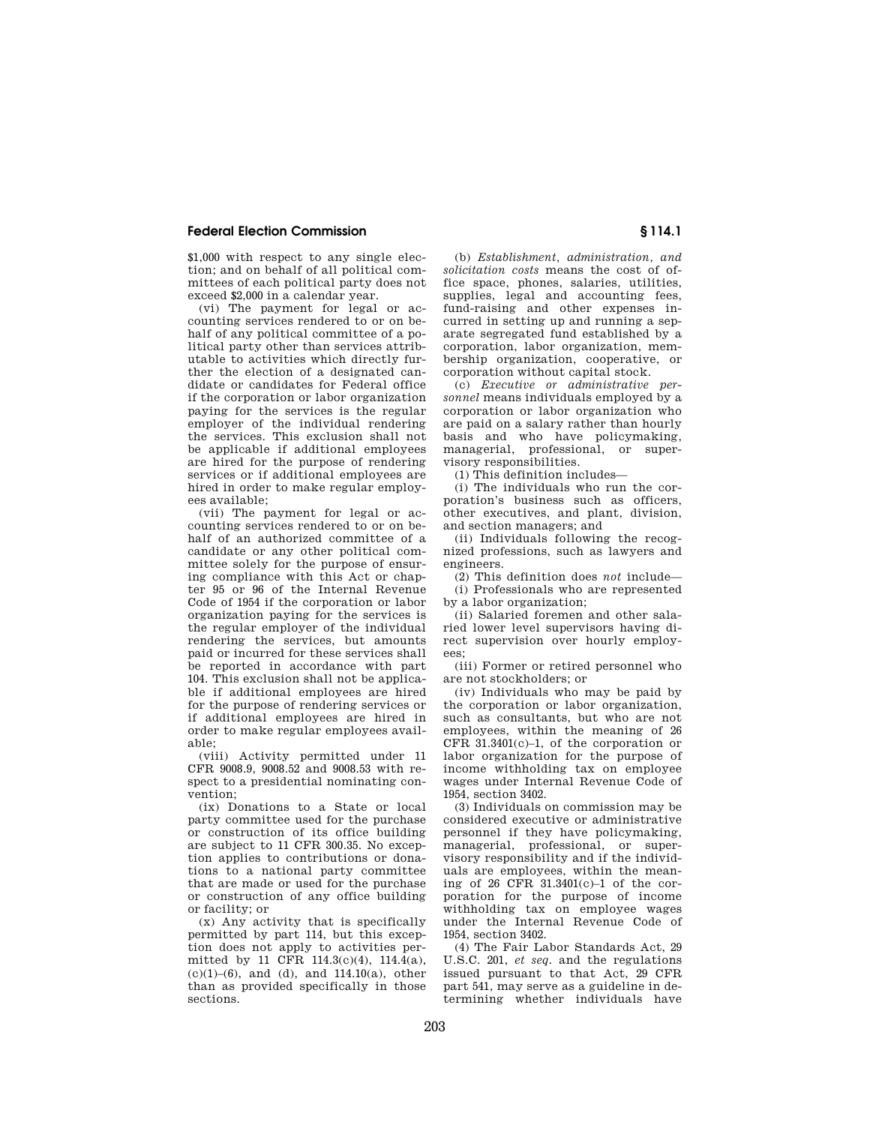\$1,000 with respect to any single election; and on behalf of all political committees of each political party does not exceed \$2,000 in a calendar year.

(vi) The payment for legal or accounting services rendered to or on behalf of any political committee of a political party other than services attributable to activities which directly further the election of a designated candidate or candidates for Federal office if the corporation or labor organization paying for the services is the regular employer of the individual rendering the services. This exclusion shall not be applicable if additional employees are hired for the purpose of rendering services or if additional employees are hired in order to make regular employees available;

(vii) The payment for legal or accounting services rendered to or on behalf of an authorized committee of a candidate or any other political committee solely for the purpose of ensuring compliance with this Act or chapter 95 or 96 of the Internal Revenue Code of 1954 if the corporation or labor organization paying for the services is the regular employer of the individual rendering the services, but amounts paid or incurred for these services shall be reported in accordance with part 104. This exclusion shall not be applicable if additional employees are hired for the purpose of rendering services or if additional employees are hired in order to make regular employees available;

(viii) Activity permitted under 11 CFR 9008.9, 9008.52 and 9008.53 with respect to a presidential nominating convention;

(ix) Donations to a State or local party committee used for the purchase or construction of its office building are subject to 11 CFR 300.35. No exception applies to contributions or donations to a national party committee that are made or used for the purchase or construction of any office building or facility; or

(x) Any activity that is specifically permitted by part 114, but this exception does not apply to activities permitted by 11 CFR 114.3(c)(4), 114.4(a), (c)(1)–(6), and (d), and 114.10(a), other than as provided specifically in those sections.

(b) *Establishment, administration, and solicitation costs* means the cost of office space, phones, salaries, utilities, supplies, legal and accounting fees, fund-raising and other expenses incurred in setting up and running a separate segregated fund established by a corporation, labor organization, membership organization, cooperative, or corporation without capital stock.

(c) *Executive or administrative personnel* means individuals employed by a corporation or labor organization who are paid on a salary rather than hourly basis and who have policymaking, managerial, professional, or supervisory responsibilities.

(1) This definition includes—

(i) The individuals who run the corporation's business such as officers other executives, and plant, division, and section managers; and

(ii) Individuals following the recognized professions, such as lawyers and engineers.

(2) This definition does *not* include— (i) Professionals who are represented

by a labor organization; (ii) Salaried foremen and other salaried lower level supervisors having direct supervision over hourly employ-

ees; (iii) Former or retired personnel who are not stockholders; or

(iv) Individuals who may be paid by the corporation or labor organization, such as consultants, but who are not employees, within the meaning of 26 CFR 31.3401(c)–1, of the corporation or labor organization for the purpose of income withholding tax on employee wages under Internal Revenue Code of 1954, section 3402.

(3) Individuals on commission may be considered executive or administrative personnel if they have policymaking, managerial, professional, or supervisory responsibility and if the individuals are employees, within the meaning of 26 CFR 31.3401(c)–1 of the corporation for the purpose of income withholding tax on employee wages under the Internal Revenue Code of 1954, section 3402.

(4) The Fair Labor Standards Act, 29 U.S.C. 201, *et seq.* and the regulations issued pursuant to that Act, 29 CFR part 541, may serve as a guideline in determining whether individuals have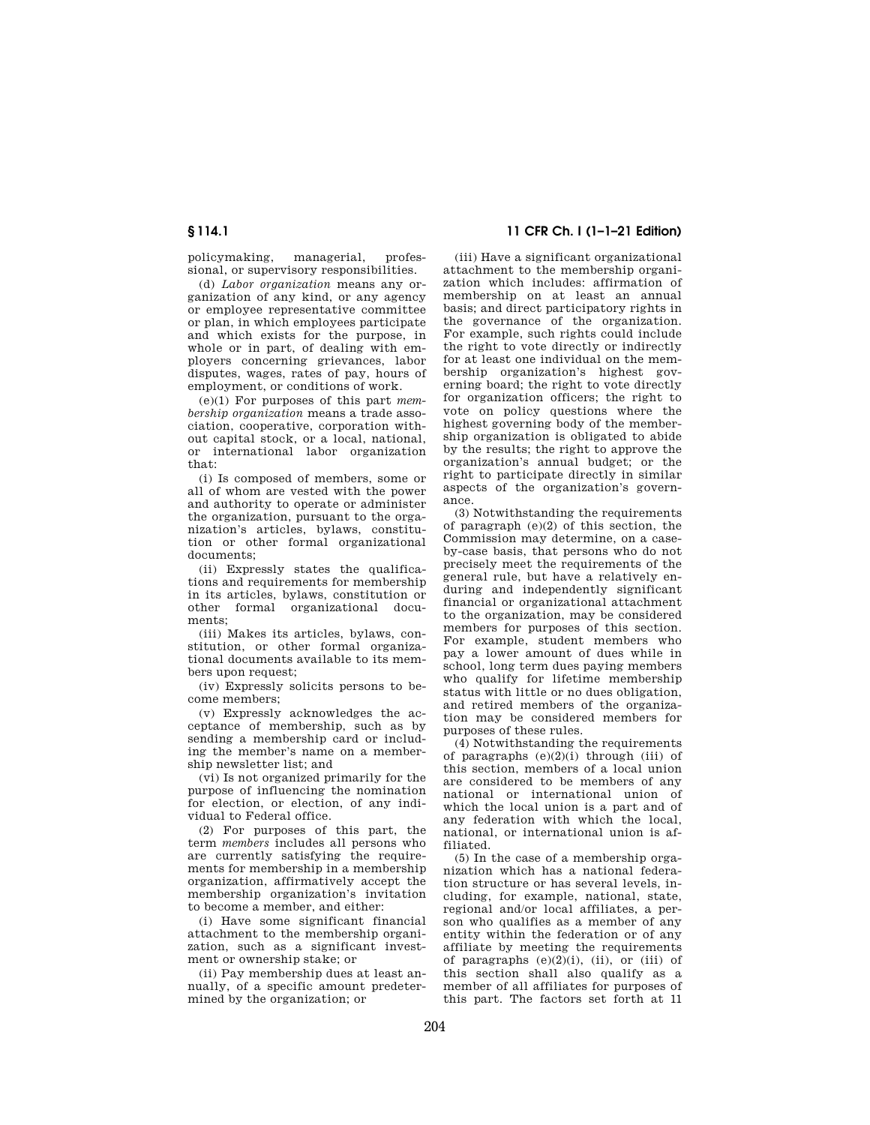policymaking, managerial, professional, or supervisory responsibilities.

(d) *Labor organization* means any organization of any kind, or any agency or employee representative committee or plan, in which employees participate and which exists for the purpose, in whole or in part, of dealing with employers concerning grievances, labor disputes, wages, rates of pay, hours of employment, or conditions of work.

(e)(1) For purposes of this part *membership organization* means a trade association, cooperative, corporation without capital stock, or a local, national, or international labor organization that:

(i) Is composed of members, some or all of whom are vested with the power and authority to operate or administer the organization, pursuant to the organization's articles, bylaws, constitution or other formal organizational documents;

(ii) Expressly states the qualifications and requirements for membership in its articles, bylaws, constitution or other formal organizational documents;

(iii) Makes its articles, bylaws, constitution, or other formal organizational documents available to its members upon request;

(iv) Expressly solicits persons to become members;

(v) Expressly acknowledges the acceptance of membership, such as by sending a membership card or including the member's name on a membership newsletter list; and

(vi) Is not organized primarily for the purpose of influencing the nomination for election, or election, of any individual to Federal office.

(2) For purposes of this part, the term *members* includes all persons who are currently satisfying the requirements for membership in a membership organization, affirmatively accept the membership organization's invitation to become a member, and either:

(i) Have some significant financial attachment to the membership organization, such as a significant investment or ownership stake; or

(ii) Pay membership dues at least annually, of a specific amount predetermined by the organization; or

# **§ 114.1 11 CFR Ch. I (1–1–21 Edition)**

(iii) Have a significant organizational attachment to the membership organization which includes: affirmation of membership on at least an annual basis; and direct participatory rights in the governance of the organization. For example, such rights could include the right to vote directly or indirectly for at least one individual on the membership organization's highest governing board; the right to vote directly for organization officers; the right to vote on policy questions where the highest governing body of the membership organization is obligated to abide by the results; the right to approve the organization's annual budget; or the right to participate directly in similar aspects of the organization's governance.

(3) Notwithstanding the requirements of paragraph (e)(2) of this section, the Commission may determine, on a caseby-case basis, that persons who do not precisely meet the requirements of the general rule, but have a relatively enduring and independently significant financial or organizational attachment to the organization, may be considered members for purposes of this section. For example, student members who pay a lower amount of dues while in school, long term dues paying members who qualify for lifetime membership status with little or no dues obligation, and retired members of the organization may be considered members for purposes of these rules.

(4) Notwithstanding the requirements of paragraphs  $(e)(2)(i)$  through (iii) of this section, members of a local union are considered to be members of any national or international union of which the local union is a part and of any federation with which the local, national, or international union is affiliated.

(5) In the case of a membership organization which has a national federation structure or has several levels, including, for example, national, state, regional and/or local affiliates, a person who qualifies as a member of any entity within the federation or of any affiliate by meeting the requirements of paragraphs  $(e)(2)(i)$ ,  $(ii)$ , or  $(iii)$  of this section shall also qualify as a member of all affiliates for purposes of this part. The factors set forth at 11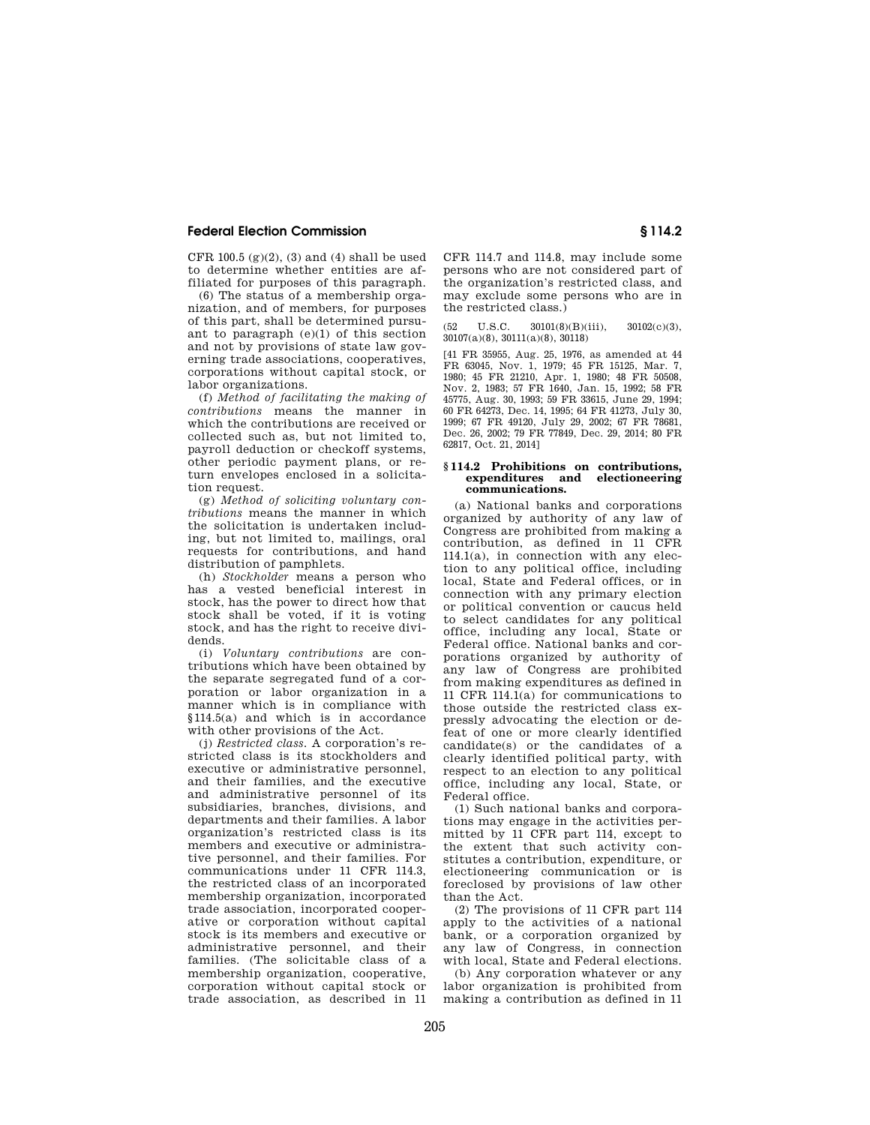CFR 100.5  $(g)(2)$ ,  $(3)$  and  $(4)$  shall be used to determine whether entities are affiliated for purposes of this paragraph.

(6) The status of a membership organization, and of members, for purposes of this part, shall be determined pursuant to paragraph (e)(1) of this section and not by provisions of state law governing trade associations, cooperatives, corporations without capital stock, or labor organizations.

(f) *Method of facilitating the making of contributions* means the manner in which the contributions are received or collected such as, but not limited to, payroll deduction or checkoff systems, other periodic payment plans, or return envelopes enclosed in a solicitation request.

(g) *Method of soliciting voluntary contributions* means the manner in which the solicitation is undertaken including, but not limited to, mailings, oral requests for contributions, and hand distribution of pamphlets.

(h) *Stockholder* means a person who has a vested beneficial interest in stock, has the power to direct how that stock shall be voted, if it is voting stock, and has the right to receive dividends.

(i) *Voluntary contributions* are contributions which have been obtained by the separate segregated fund of a corporation or labor organization in a manner which is in compliance with §114.5(a) and which is in accordance with other provisions of the Act.

(j) *Restricted class.* A corporation's restricted class is its stockholders and executive or administrative personnel, and their families, and the executive and administrative personnel of its subsidiaries, branches, divisions, and departments and their families. A labor organization's restricted class is its members and executive or administrative personnel, and their families. For communications under 11 CFR 114.3, the restricted class of an incorporated membership organization, incorporated trade association, incorporated cooperative or corporation without capital stock is its members and executive or administrative personnel, and their families. (The solicitable class of a membership organization, cooperative, corporation without capital stock or trade association, as described in 11

CFR 114.7 and 114.8, may include some persons who are not considered part of the organization's restricted class, and may exclude some persons who are in the restricted class.)

U.S.C.  $30101(8)(B)(iii)$ ,  $30102(c)(3)$ , 30107(a)(8), 30111(a)(8), 30118)

[41 FR 35955, Aug. 25, 1976, as amended at 44 FR 63045, Nov. 1, 1979; 45 FR 15125, Mar. 7, 1980; 45 FR 21210, Apr. 1, 1980; 48 FR 50508, Nov. 2, 1983; 57 FR 1640, Jan. 15, 1992; 58 FR 45775, Aug. 30, 1993; 59 FR 33615, June 29, 1994; 60 FR 64273, Dec. 14, 1995; 64 FR 41273, July 30, 1999; 67 FR 49120, July 29, 2002; 67 FR 78681, Dec. 26, 2002; 79 FR 77849, Dec. 29, 2014; 80 FR 62817, Oct. 21, 2014]

#### **§ 114.2 Prohibitions on contributions, expenditures and electioneering communications.**

(a) National banks and corporations organized by authority of any law of Congress are prohibited from making a contribution, as defined in 11 CFR 114.1(a), in connection with any election to any political office, including local, State and Federal offices, or in connection with any primary election or political convention or caucus held to select candidates for any political office, including any local, State or Federal office. National banks and corporations organized by authority of any law of Congress are prohibited from making expenditures as defined in 11 CFR 114.1(a) for communications to those outside the restricted class expressly advocating the election or defeat of one or more clearly identified candidate(s) or the candidates of a clearly identified political party, with respect to an election to any political office, including any local, State, or Federal office.

(1) Such national banks and corporations may engage in the activities permitted by 11 CFR part 114, except to the extent that such activity constitutes a contribution, expenditure, or electioneering communication or is foreclosed by provisions of law other than the Act.

(2) The provisions of 11 CFR part 114 apply to the activities of a national bank, or a corporation organized by any law of Congress, in connection with local, State and Federal elections.

(b) Any corporation whatever or any labor organization is prohibited from making a contribution as defined in 11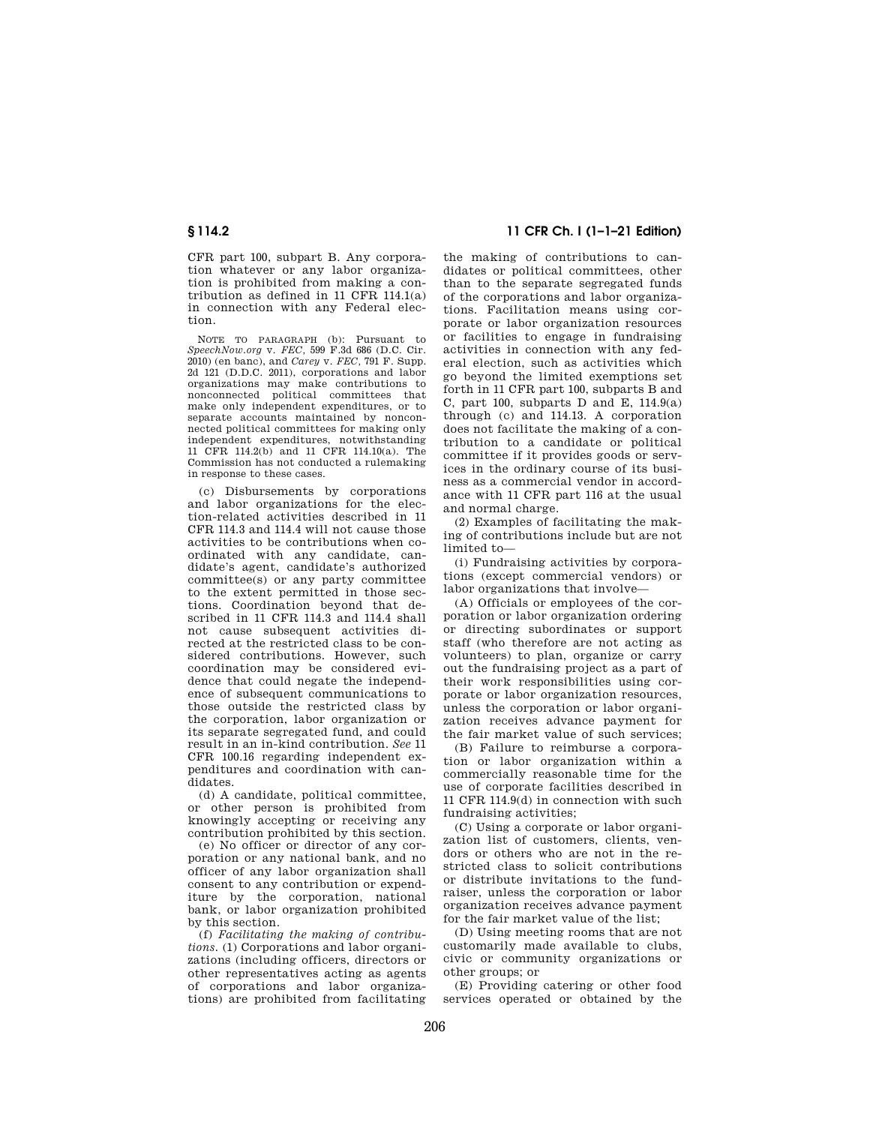CFR part 100, subpart B. Any corporation whatever or any labor organization is prohibited from making a contribution as defined in 11 CFR 114.1(a) in connection with any Federal election.

NOTE TO PARAGRAPH (b): Pursuant to *SpeechNow.org* v. *FEC,* 599 F.3d 686 (D.C. Cir. 2010) (en banc), and *Carey* v. *FEC,* 791 F. Supp. 2d 121 (D.D.C. 2011), corporations and labor organizations may make contributions to nonconnected political committees that make only independent expenditures, or to separate accounts maintained by nonconnected political committees for making only independent expenditures, notwithstanding 11 CFR 114.2(b) and 11 CFR 114.10(a). The Commission has not conducted a rulemaking in response to these cases.

(c) Disbursements by corporations and labor organizations for the election-related activities described in 11 CFR 114.3 and 114.4 will not cause those activities to be contributions when coordinated with any candidate, candidate's agent, candidate's authorized committee(s) or any party committee to the extent permitted in those sections. Coordination beyond that described in 11 CFR 114.3 and 114.4 shall not cause subsequent activities directed at the restricted class to be considered contributions. However, such coordination may be considered evidence that could negate the independence of subsequent communications to those outside the restricted class by the corporation, labor organization or its separate segregated fund, and could result in an in-kind contribution. *See* 11 CFR 100.16 regarding independent expenditures and coordination with candidates.

(d) A candidate, political committee, or other person is prohibited from knowingly accepting or receiving any contribution prohibited by this section.

(e) No officer or director of any corporation or any national bank, and no officer of any labor organization shall consent to any contribution or expenditure by the corporation, national bank, or labor organization prohibited by this section.

(f) *Facilitating the making of contributions.* (1) Corporations and labor organizations (including officers, directors or other representatives acting as agents of corporations and labor organizations) are prohibited from facilitating

**§ 114.2 11 CFR Ch. I (1–1–21 Edition)** 

the making of contributions to candidates or political committees, other than to the separate segregated funds of the corporations and labor organizations. Facilitation means using corporate or labor organization resources or facilities to engage in fundraising activities in connection with any federal election, such as activities which go beyond the limited exemptions set forth in 11 CFR part 100, subparts B and C, part 100, subparts D and E,  $114.9(a)$ through (c) and 114.13. A corporation does not facilitate the making of a contribution to a candidate or political committee if it provides goods or services in the ordinary course of its business as a commercial vendor in accordance with 11 CFR part 116 at the usual and normal charge.

(2) Examples of facilitating the making of contributions include but are not limited to—

(i) Fundraising activities by corporations (except commercial vendors) or labor organizations that involve—

(A) Officials or employees of the corporation or labor organization ordering or directing subordinates or support staff (who therefore are not acting as volunteers) to plan, organize or carry out the fundraising project as a part of their work responsibilities using corporate or labor organization resources, unless the corporation or labor organization receives advance payment for the fair market value of such services;

(B) Failure to reimburse a corporation or labor organization within a commercially reasonable time for the use of corporate facilities described in 11 CFR 114.9(d) in connection with such fundraising activities;

(C) Using a corporate or labor organization list of customers, clients, vendors or others who are not in the restricted class to solicit contributions or distribute invitations to the fundraiser, unless the corporation or labor organization receives advance payment for the fair market value of the list;

(D) Using meeting rooms that are not customarily made available to clubs, civic or community organizations or other groups; or

(E) Providing catering or other food services operated or obtained by the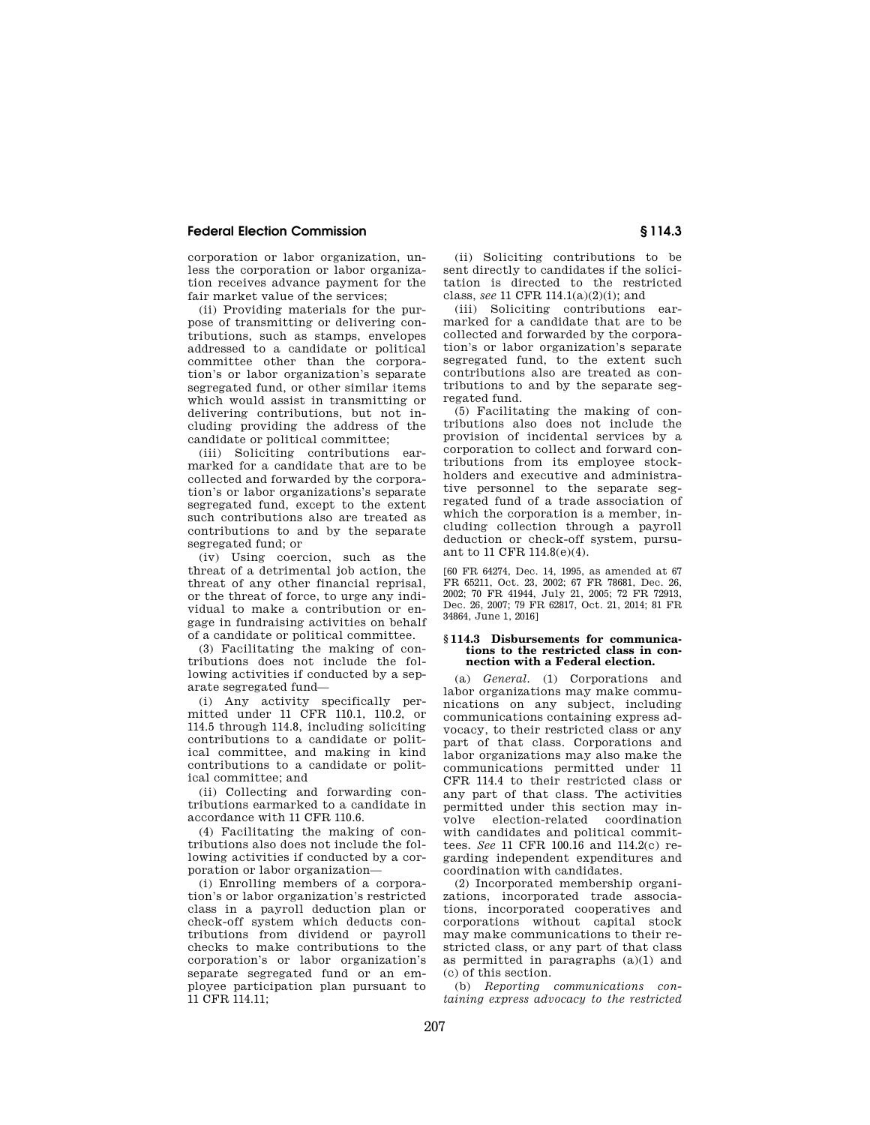corporation or labor organization, unless the corporation or labor organization receives advance payment for the fair market value of the services;

(ii) Providing materials for the purpose of transmitting or delivering contributions, such as stamps, envelopes addressed to a candidate or political committee other than the corporation's or labor organization's separate segregated fund, or other similar items which would assist in transmitting or delivering contributions, but not including providing the address of the candidate or political committee;

(iii) Soliciting contributions earmarked for a candidate that are to be collected and forwarded by the corporation's or labor organizations's separate segregated fund, except to the extent such contributions also are treated as contributions to and by the separate segregated fund; or

(iv) Using coercion, such as the threat of a detrimental job action, the threat of any other financial reprisal, or the threat of force, to urge any individual to make a contribution or engage in fundraising activities on behalf of a candidate or political committee.

(3) Facilitating the making of contributions does not include the following activities if conducted by a separate segregated fund—

(i) Any activity specifically permitted under 11 CFR 110.1, 110.2, or 114.5 through 114.8, including soliciting contributions to a candidate or political committee, and making in kind contributions to a candidate or political committee; and

(ii) Collecting and forwarding contributions earmarked to a candidate in accordance with 11 CFR 110.6.

(4) Facilitating the making of contributions also does not include the following activities if conducted by a corporation or labor organization—

(i) Enrolling members of a corporation's or labor organization's restricted class in a payroll deduction plan or check-off system which deducts contributions from dividend or payroll checks to make contributions to the corporation's or labor organization's separate segregated fund or an employee participation plan pursuant to 11 CFR 114.11;

(ii) Soliciting contributions to be sent directly to candidates if the solicitation is directed to the restricted class, *see* 11 CFR 114.1(a)(2)(i); and

(iii) Soliciting contributions earmarked for a candidate that are to be collected and forwarded by the corporation's or labor organization's separate segregated fund, to the extent such contributions also are treated as contributions to and by the separate segregated fund.

(5) Facilitating the making of contributions also does not include the provision of incidental services by a corporation to collect and forward contributions from its employee stockholders and executive and administrative personnel to the separate segregated fund of a trade association of which the corporation is a member, including collection through a payroll deduction or check-off system, pursuant to 11 CFR 114.8(e)(4).

[60 FR 64274, Dec. 14, 1995, as amended at 67 FR 65211, Oct. 23, 2002; 67 FR 78681, Dec. 26, 2002; 70 FR 41944, July 21, 2005; 72 FR 72913, Dec. 26, 2007; 79 FR 62817, Oct. 21, 2014; 81 FR 34864, June 1, 2016]

#### **§ 114.3 Disbursements for communications to the restricted class in connection with a Federal election.**

(a) *General.* (1) Corporations and labor organizations may make communications on any subject, including communications containing express advocacy, to their restricted class or any part of that class. Corporations and labor organizations may also make the communications permitted under 11 CFR 114.4 to their restricted class or any part of that class. The activities permitted under this section may involve election-related coordination with candidates and political committees. *See* 11 CFR 100.16 and 114.2(c) regarding independent expenditures and coordination with candidates.

(2) Incorporated membership organizations, incorporated trade associations, incorporated cooperatives and corporations without capital stock may make communications to their restricted class, or any part of that class as permitted in paragraphs (a)(1) and (c) of this section.

(b) *Reporting communications containing express advocacy to the restricted*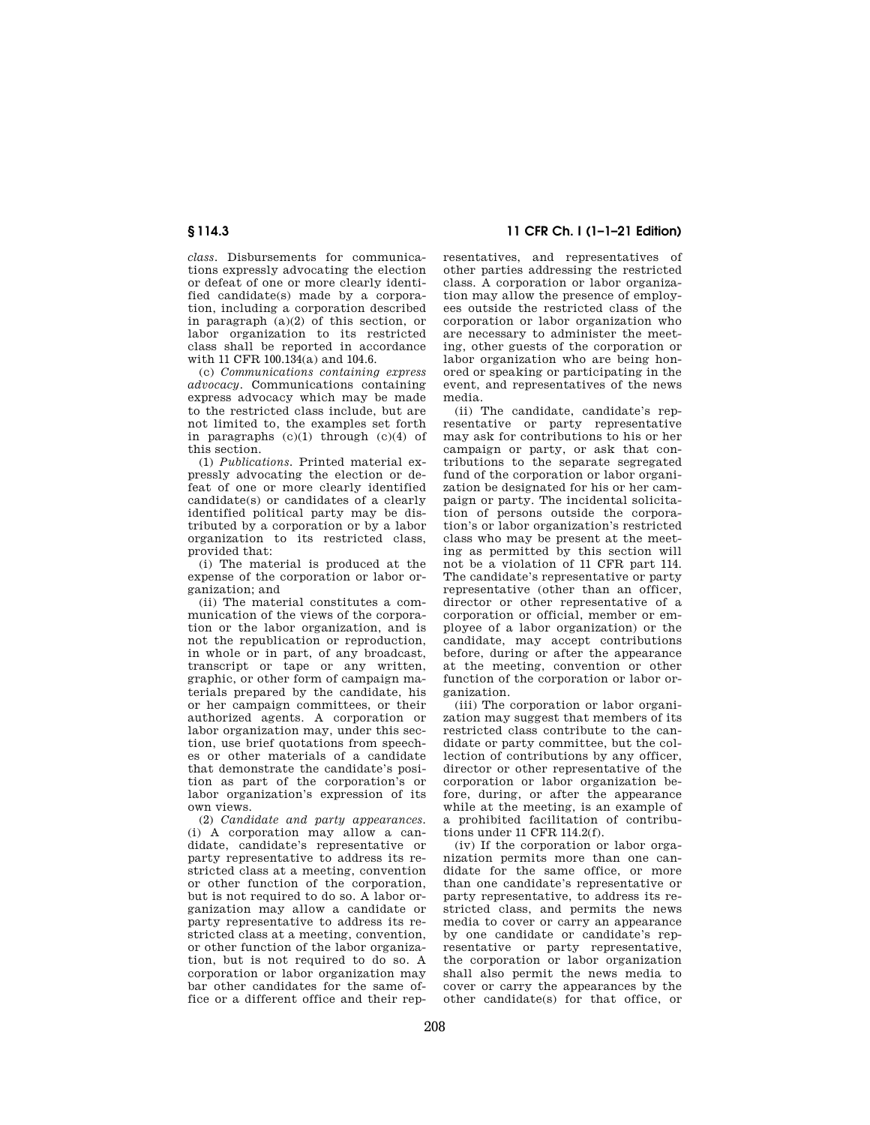*class.* Disbursements for communications expressly advocating the election or defeat of one or more clearly identified candidate(s) made by a corporation, including a corporation described in paragraph (a)(2) of this section, or labor organization to its restricted class shall be reported in accordance with 11 CFR 100.134(a) and 104.6.

(c) *Communications containing express advocacy.* Communications containing express advocacy which may be made to the restricted class include, but are not limited to, the examples set forth in paragraphs  $(c)(1)$  through  $(c)(4)$  of this section.

(1) *Publications.* Printed material expressly advocating the election or defeat of one or more clearly identified candidate(s) or candidates of a clearly identified political party may be distributed by a corporation or by a labor organization to its restricted class, provided that:

(i) The material is produced at the expense of the corporation or labor organization; and

(ii) The material constitutes a communication of the views of the corporation or the labor organization, and is not the republication or reproduction, in whole or in part, of any broadcast, transcript or tape or any written, graphic, or other form of campaign materials prepared by the candidate, his or her campaign committees, or their authorized agents. A corporation or labor organization may, under this section, use brief quotations from speeches or other materials of a candidate that demonstrate the candidate's position as part of the corporation's or labor organization's expression of its own views.

(2) *Candidate and party appearances.*  (i) A corporation may allow a candidate, candidate's representative or party representative to address its restricted class at a meeting, convention or other function of the corporation, but is not required to do so. A labor organization may allow a candidate or party representative to address its restricted class at a meeting, convention or other function of the labor organization, but is not required to do so. A corporation or labor organization may bar other candidates for the same office or a different office and their rep-

**§ 114.3 11 CFR Ch. I (1–1–21 Edition)** 

resentatives, and representatives of other parties addressing the restricted class. A corporation or labor organization may allow the presence of employees outside the restricted class of the corporation or labor organization who are necessary to administer the meeting, other guests of the corporation or labor organization who are being honored or speaking or participating in the event, and representatives of the news media.

(ii) The candidate, candidate's representative or party representative may ask for contributions to his or her campaign or party, or ask that contributions to the separate segregated fund of the corporation or labor organization be designated for his or her campaign or party. The incidental solicitation of persons outside the corporation's or labor organization's restricted class who may be present at the meeting as permitted by this section will not be a violation of 11 CFR part 114. The candidate's representative or party representative (other than an officer, director or other representative of a corporation or official, member or employee of a labor organization) or the candidate, may accept contributions before, during or after the appearance at the meeting, convention or other function of the corporation or labor organization.

(iii) The corporation or labor organization may suggest that members of its restricted class contribute to the candidate or party committee, but the collection of contributions by any officer, director or other representative of the corporation or labor organization before, during, or after the appearance while at the meeting, is an example of a prohibited facilitation of contributions under 11 CFR 114.2(f).

(iv) If the corporation or labor organization permits more than one candidate for the same office, or more than one candidate's representative or party representative, to address its restricted class, and permits the news media to cover or carry an appearance by one candidate or candidate's representative or party representative, the corporation or labor organization shall also permit the news media to cover or carry the appearances by the other candidate(s) for that office, or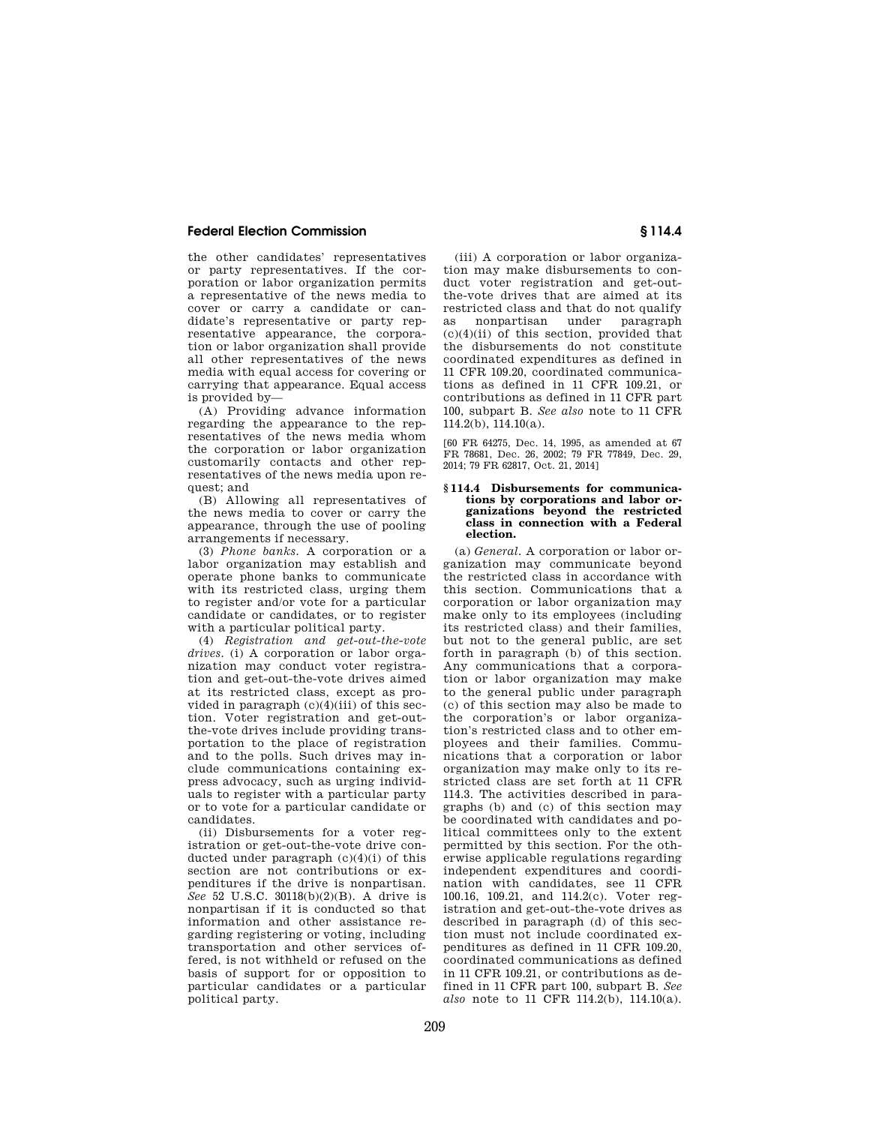the other candidates' representatives or party representatives. If the corporation or labor organization permits a representative of the news media to cover or carry a candidate or candidate's representative or party representative appearance, the corporation or labor organization shall provide all other representatives of the news media with equal access for covering or carrying that appearance. Equal access is provided by—

(A) Providing advance information regarding the appearance to the representatives of the news media whom the corporation or labor organization customarily contacts and other representatives of the news media upon request; and

(B) Allowing all representatives of the news media to cover or carry the appearance, through the use of pooling arrangements if necessary.

(3) *Phone banks.* A corporation or a labor organization may establish and operate phone banks to communicate with its restricted class, urging them to register and/or vote for a particular candidate or candidates, or to register with a particular political party.

(4) *Registration and get-out-the-vote drives.* (i) A corporation or labor organization may conduct voter registration and get-out-the-vote drives aimed at its restricted class, except as provided in paragraph (c)(4)(iii) of this section. Voter registration and get-outthe-vote drives include providing transportation to the place of registration and to the polls. Such drives may include communications containing express advocacy, such as urging individuals to register with a particular party or to vote for a particular candidate or candidates.

(ii) Disbursements for a voter registration or get-out-the-vote drive conducted under paragraph  $(c)(4)(i)$  of this section are not contributions or expenditures if the drive is nonpartisan. *See* 52 U.S.C. 30118(b)(2)(B). A drive is nonpartisan if it is conducted so that information and other assistance regarding registering or voting, including transportation and other services offered, is not withheld or refused on the basis of support for or opposition to particular candidates or a particular political party.

(iii) A corporation or labor organization may make disbursements to conduct voter registration and get-outthe-vote drives that are aimed at its restricted class and that do not qualify as nonpartisan under paragraph  $(c)(4)(ii)$  of this section, provided that the disbursements do not constitute coordinated expenditures as defined in 11 CFR 109.20, coordinated communications as defined in 11 CFR 109.21, or contributions as defined in 11 CFR part 100, subpart B. *See also* note to 11 CFR 114.2(b), 114.10(a).

[60 FR 64275, Dec. 14, 1995, as amended at 67 FR 78681, Dec. 26, 2002; 79 FR 77849, Dec. 29, 2014; 79 FR 62817, Oct. 21, 2014]

#### **§ 114.4 Disbursements for communications by corporations and labor organizations beyond the restricted class in connection with a Federal election.**

(a) *General.* A corporation or labor organization may communicate beyond the restricted class in accordance with this section. Communications that a corporation or labor organization may make only to its employees (including its restricted class) and their families, but not to the general public, are set forth in paragraph (b) of this section. Any communications that a corporation or labor organization may make to the general public under paragraph (c) of this section may also be made to the corporation's or labor organization's restricted class and to other employees and their families. Communications that a corporation or labor organization may make only to its restricted class are set forth at 11 CFR 114.3. The activities described in paragraphs (b) and (c) of this section may be coordinated with candidates and political committees only to the extent permitted by this section. For the otherwise applicable regulations regarding independent expenditures and coordination with candidates, see 11 CFR 100.16, 109.21, and 114.2(c). Voter registration and get-out-the-vote drives as described in paragraph (d) of this section must not include coordinated expenditures as defined in 11 CFR 109.20, coordinated communications as defined in 11 CFR 109.21, or contributions as defined in 11 CFR part 100, subpart B. *See also* note to 11 CFR 114.2(b), 114.10(a).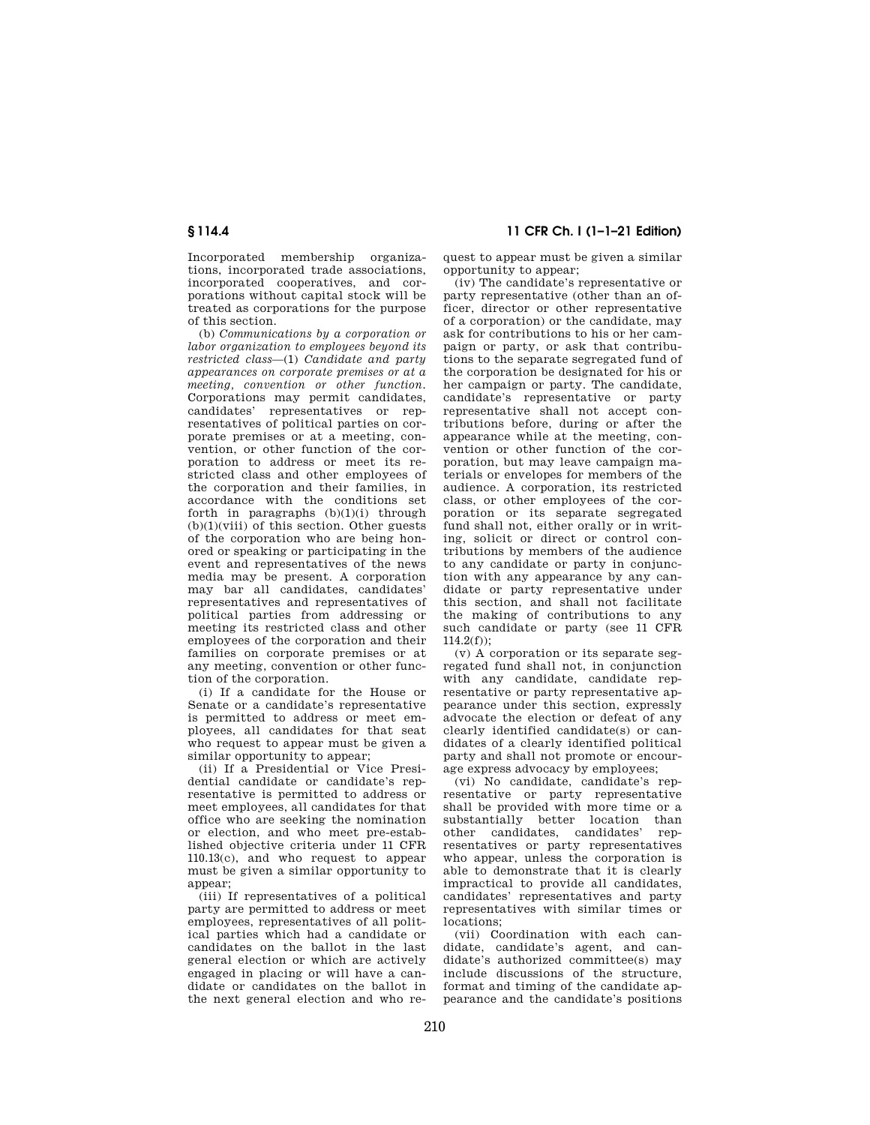Incorporated membership organizations, incorporated trade associations, incorporated cooperatives, and corporations without capital stock will be treated as corporations for the purpose of this section.

(b) *Communications by a corporation or labor organization to employees beyond its restricted class*—(1) *Candidate and party appearances on corporate premises or at a meeting, convention or other function.*  Corporations may permit candidates, candidates' representatives or representatives of political parties on corporate premises or at a meeting, convention, or other function of the corporation to address or meet its restricted class and other employees of the corporation and their families, in accordance with the conditions set forth in paragraphs  $(b)(1)(i)$  through  $(b)(1)(viii)$  of this section. Other guests of the corporation who are being honored or speaking or participating in the event and representatives of the news media may be present. A corporation may bar all candidates, candidates' representatives and representatives of political parties from addressing or meeting its restricted class and other employees of the corporation and their families on corporate premises or at any meeting, convention or other function of the corporation.

(i) If a candidate for the House or Senate or a candidate's representative is permitted to address or meet employees, all candidates for that seat who request to appear must be given a similar opportunity to appear;

(ii) If a Presidential or Vice Presidential candidate or candidate's representative is permitted to address or meet employees, all candidates for that office who are seeking the nomination or election, and who meet pre-established objective criteria under 11 CFR 110.13(c), and who request to appear must be given a similar opportunity to appear;

(iii) If representatives of a political party are permitted to address or meet employees, representatives of all political parties which had a candidate or candidates on the ballot in the last general election or which are actively engaged in placing or will have a candidate or candidates on the ballot in the next general election and who re-

**§ 114.4 11 CFR Ch. I (1–1–21 Edition)** 

quest to appear must be given a similar opportunity to appear;

(iv) The candidate's representative or party representative (other than an officer, director or other representative of a corporation) or the candidate, may ask for contributions to his or her campaign or party, or ask that contributions to the separate segregated fund of the corporation be designated for his or her campaign or party. The candidate, candidate's representative or party representative shall not accept contributions before, during or after the appearance while at the meeting, convention or other function of the corporation, but may leave campaign materials or envelopes for members of the audience. A corporation, its restricted class, or other employees of the corporation or its separate segregated fund shall not, either orally or in writing, solicit or direct or control contributions by members of the audience to any candidate or party in conjunction with any appearance by any candidate or party representative under this section, and shall not facilitate the making of contributions to any such candidate or party (see 11 CFR  $114.2(f)$ ;

(v) A corporation or its separate segregated fund shall not, in conjunction with any candidate, candidate representative or party representative appearance under this section, expressly advocate the election or defeat of any clearly identified candidate(s) or candidates of a clearly identified political party and shall not promote or encourage express advocacy by employees;

(vi) No candidate, candidate's representative or party representative shall be provided with more time or a substantially better location than other candidates, candidates' representatives or party representatives who appear, unless the corporation is able to demonstrate that it is clearly impractical to provide all candidates, candidates' representatives and party representatives with similar times or locations;

(vii) Coordination with each candidate, candidate's agent, and candidate's authorized committee(s) may include discussions of the structure, format and timing of the candidate appearance and the candidate's positions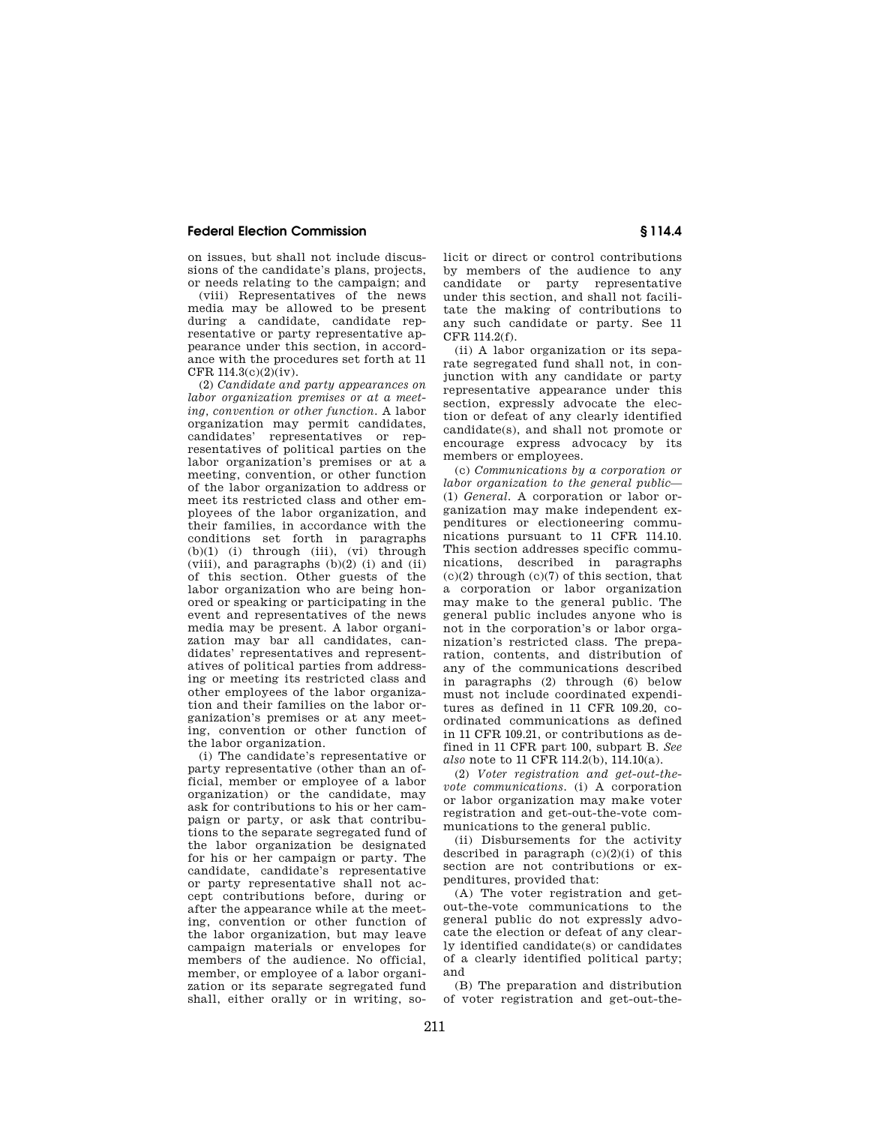on issues, but shall not include discussions of the candidate's plans, projects, or needs relating to the campaign; and

(viii) Representatives of the news media may be allowed to be present during a candidate, candidate representative or party representative appearance under this section, in accordance with the procedures set forth at 11 CFR 114.3(c)(2)(iv).

(2) *Candidate and party appearances on labor organization premises or at a meeting, convention or other function.* A labor organization may permit candidates, candidates' representatives or representatives of political parties on the labor organization's premises or at a meeting, convention, or other function of the labor organization to address or meet its restricted class and other employees of the labor organization, and their families, in accordance with the conditions set forth in paragraphs  $(b)(1)$  (i) through (iii), (vi) through (viii), and paragraphs  $(b)(2)$  (i) and (ii) of this section. Other guests of the labor organization who are being honored or speaking or participating in the event and representatives of the news media may be present. A labor organization may bar all candidates, candidates' representatives and representatives of political parties from addressing or meeting its restricted class and other employees of the labor organization and their families on the labor organization's premises or at any meeting, convention or other function of the labor organization.

(i) The candidate's representative or party representative (other than an official, member or employee of a labor organization) or the candidate, may ask for contributions to his or her campaign or party, or ask that contributions to the separate segregated fund of the labor organization be designated for his or her campaign or party. The candidate, candidate's representative or party representative shall not accept contributions before, during or after the appearance while at the meeting, convention or other function of the labor organization, but may leave campaign materials or envelopes for members of the audience. No official, member, or employee of a labor organization or its separate segregated fund shall, either orally or in writing, solicit or direct or control contributions by members of the audience to any candidate or party representative under this section, and shall not facilitate the making of contributions to any such candidate or party. See 11 CFR 114.2(f).

(ii) A labor organization or its separate segregated fund shall not, in conjunction with any candidate or party representative appearance under this section, expressly advocate the election or defeat of any clearly identified candidate(s), and shall not promote or encourage express advocacy by its members or employees.

(c) *Communications by a corporation or labor organization to the general public*— (1) *General.* A corporation or labor organization may make independent expenditures or electioneering communications pursuant to 11 CFR 114.10. This section addresses specific communications, described in paragraphs  $(c)(2)$  through  $(c)(7)$  of this section, that a corporation or labor organization may make to the general public. The general public includes anyone who is not in the corporation's or labor organization's restricted class. The preparation, contents, and distribution of any of the communications described in paragraphs (2) through (6) below must not include coordinated expenditures as defined in 11 CFR 109.20, coordinated communications as defined in 11 CFR 109.21, or contributions as defined in 11 CFR part 100, subpart B. *See also* note to 11 CFR 114.2(b), 114.10(a).

(2) *Voter registration and get-out-thevote communications.* (i) A corporation or labor organization may make voter registration and get-out-the-vote communications to the general public.

(ii) Disbursements for the activity described in paragraph  $(c)(2)(i)$  of this section are not contributions or expenditures, provided that:

(A) The voter registration and getout-the-vote communications to the general public do not expressly advocate the election or defeat of any clearly identified candidate(s) or candidates of a clearly identified political party; and

(B) The preparation and distribution of voter registration and get-out-the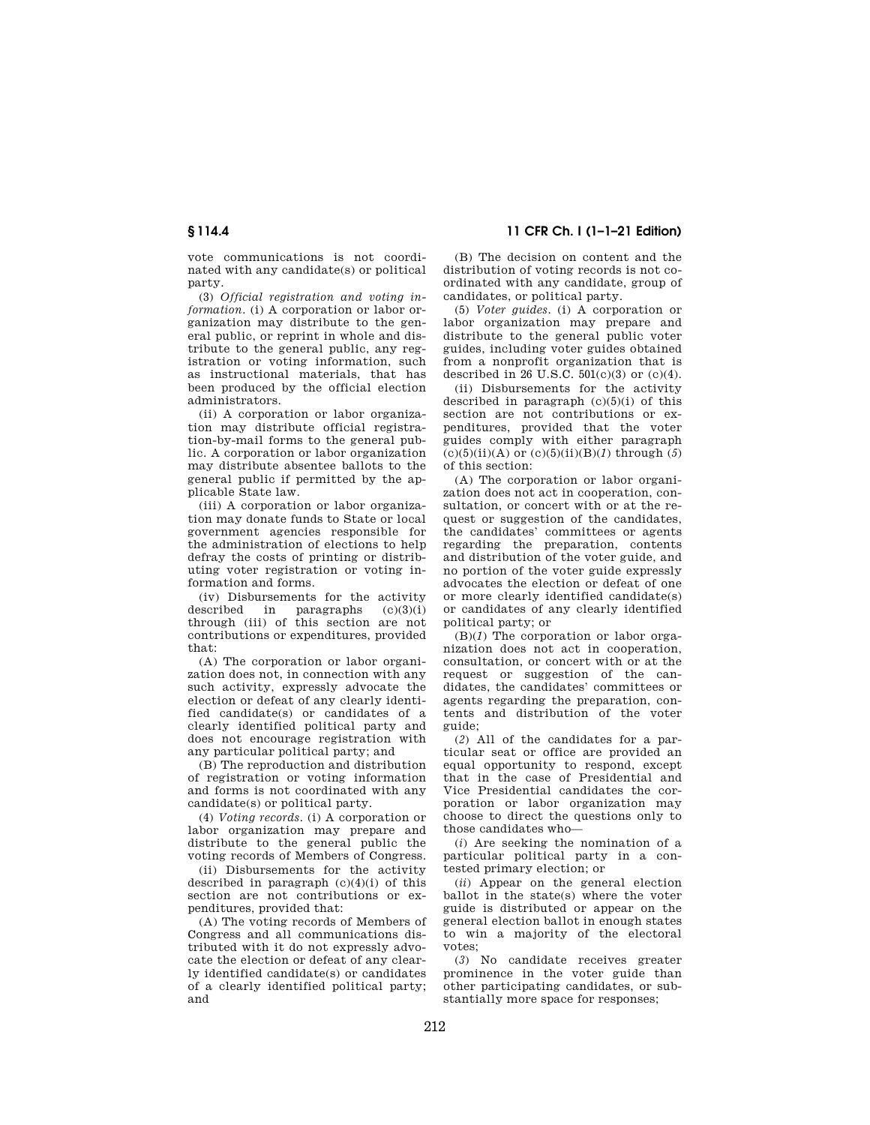vote communications is not coordinated with any candidate(s) or political party.

(3) *Official registration and voting information.* (i) A corporation or labor organization may distribute to the general public, or reprint in whole and distribute to the general public, any registration or voting information, such as instructional materials, that has been produced by the official election administrators.

(ii) A corporation or labor organization may distribute official registration-by-mail forms to the general public. A corporation or labor organization may distribute absentee ballots to the general public if permitted by the applicable State law.

(iii) A corporation or labor organization may donate funds to State or local government agencies responsible for the administration of elections to help defray the costs of printing or distributing voter registration or voting information and forms.

(iv) Disbursements for the activity described in paragraphs  $(c)(3)(i)$ through (iii) of this section are not contributions or expenditures, provided that:

(A) The corporation or labor organization does not, in connection with any such activity, expressly advocate the election or defeat of any clearly identified candidate(s) or candidates of a clearly identified political party and does not encourage registration with any particular political party; and

(B) The reproduction and distribution of registration or voting information and forms is not coordinated with any candidate(s) or political party.

(4) *Voting records.* (i) A corporation or labor organization may prepare and distribute to the general public the voting records of Members of Congress.

(ii) Disbursements for the activity described in paragraph  $(c)(4)(i)$  of this section are not contributions or expenditures, provided that:

(A) The voting records of Members of Congress and all communications distributed with it do not expressly advocate the election or defeat of any clearly identified candidate(s) or candidates of a clearly identified political party; and

**§ 114.4 11 CFR Ch. I (1–1–21 Edition)** 

(B) The decision on content and the distribution of voting records is not coordinated with any candidate, group of candidates, or political party.

(5) *Voter guides.* (i) A corporation or labor organization may prepare and distribute to the general public voter guides, including voter guides obtained from a nonprofit organization that is described in 26 U.S.C.  $501(c)(3)$  or  $(c)(4)$ .

(ii) Disbursements for the activity described in paragraph  $(c)(5)(i)$  of this section are not contributions or expenditures, provided that the voter guides comply with either paragraph (c)(5)(ii)(A) or (c)(5)(ii)(B)(*1*) through (*5*) of this section:

(A) The corporation or labor organization does not act in cooperation, consultation, or concert with or at the request or suggestion of the candidates, the candidates' committees or agents regarding the preparation, contents and distribution of the voter guide, and no portion of the voter guide expressly advocates the election or defeat of one or more clearly identified candidate(s) or candidates of any clearly identified political party; or

(B)(*1*) The corporation or labor organization does not act in cooperation, consultation, or concert with or at the request or suggestion of the candidates, the candidates' committees or agents regarding the preparation, contents and distribution of the voter guide;

(*2*) All of the candidates for a particular seat or office are provided an equal opportunity to respond, except that in the case of Presidential and Vice Presidential candidates the corporation or labor organization may choose to direct the questions only to those candidates who—

(*i*) Are seeking the nomination of a particular political party in a contested primary election; or

(*ii*) Appear on the general election ballot in the state(s) where the voter guide is distributed or appear on the general election ballot in enough states to win a majority of the electoral votes;

(*3*) No candidate receives greater prominence in the voter guide than other participating candidates, or substantially more space for responses;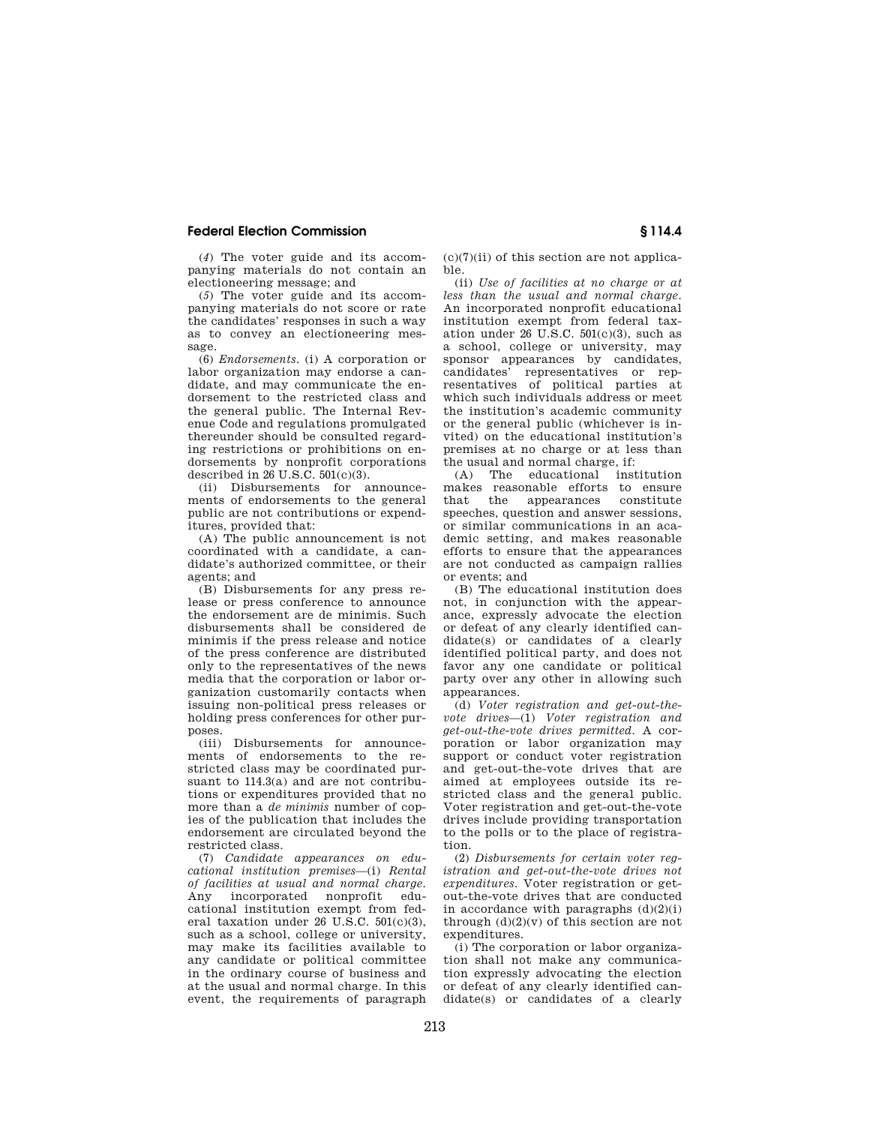(*4*) The voter guide and its accompanying materials do not contain an electioneering message; and

(*5*) The voter guide and its accompanying materials do not score or rate the candidates' responses in such a way as to convey an electioneering message.

(6) *Endorsements.* (i) A corporation or labor organization may endorse a candidate, and may communicate the endorsement to the restricted class and the general public. The Internal Revenue Code and regulations promulgated thereunder should be consulted regarding restrictions or prohibitions on endorsements by nonprofit corporations described in  $26$  U.S.C.  $501(c)(3)$ .

(ii) Disbursements for announcements of endorsements to the general public are not contributions or expenditures, provided that:

(A) The public announcement is not coordinated with a candidate, a candidate's authorized committee, or their agents; and

(B) Disbursements for any press release or press conference to announce the endorsement are de minimis. Such disbursements shall be considered de minimis if the press release and notice of the press conference are distributed only to the representatives of the news media that the corporation or labor organization customarily contacts when issuing non-political press releases or holding press conferences for other purposes.<br>(iii)

Disbursements for announcements of endorsements to the restricted class may be coordinated pursuant to 114.3(a) and are not contributions or expenditures provided that no more than a *de minimis* number of copies of the publication that includes the endorsement are circulated beyond the restricted class.

(7) *Candidate appearances on educational institution premises*—(i) *Rental of facilities at usual and normal charge.*  Any incorporated nonprofit educational institution exempt from federal taxation under 26 U.S.C. 501(c)(3), such as a school, college or university, may make its facilities available to any candidate or political committee in the ordinary course of business and at the usual and normal charge. In this event, the requirements of paragraph  $(c)(7)(ii)$  of this section are not applicable.

(ii) *Use of facilities at no charge or at less than the usual and normal charge.*  An incorporated nonprofit educational institution exempt from federal taxation under  $26 \text{ U.S.C. } 501 \text{(c)}(3)$ , such as a school, college or university, may sponsor appearances by candidates, candidates' representatives or representatives of political parties at which such individuals address or meet the institution's academic community or the general public (whichever is invited) on the educational institution's premises at no charge or at less than the usual and normal charge, if:<br>(A) The educational inst

educational institution makes reasonable efforts to ensure that the appearances constitute speeches, question and answer sessions, or similar communications in an academic setting, and makes reasonable efforts to ensure that the appearances are not conducted as campaign rallies or events; and

(B) The educational institution does not, in conjunction with the appearance, expressly advocate the election or defeat of any clearly identified candidate(s) or candidates of a clearly identified political party, and does not favor any one candidate or political party over any other in allowing such appearances.

(d) *Voter registration and get-out-thevote drives*—(1) *Voter registration and get-out-the-vote drives permitted.* A corporation or labor organization may support or conduct voter registration and get-out-the-vote drives that are aimed at employees outside its restricted class and the general public. Voter registration and get-out-the-vote drives include providing transportation to the polls or to the place of registration.

(2) *Disbursements for certain voter registration and get-out-the-vote drives not expenditures.* Voter registration or getout-the-vote drives that are conducted in accordance with paragraphs  $(d)(2)(i)$ through  $(d)(2)(v)$  of this section are not expenditures.

(i) The corporation or labor organization shall not make any communication expressly advocating the election or defeat of any clearly identified candidate(s) or candidates of a clearly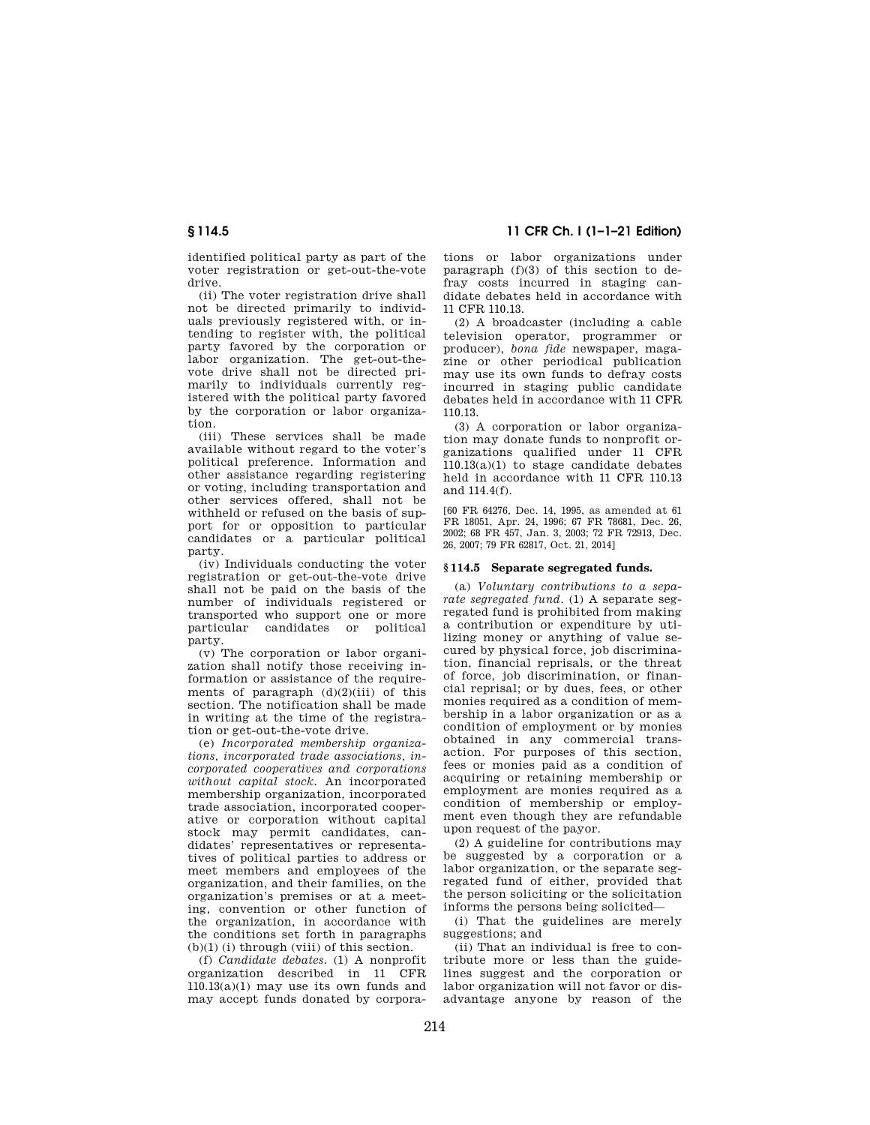identified political party as part of the voter registration or get-out-the-vote drive.

(ii) The voter registration drive shall not be directed primarily to individuals previously registered with, or intending to register with, the political party favored by the corporation or labor organization. The get-out-thevote drive shall not be directed primarily to individuals currently registered with the political party favored by the corporation or labor organization.

(iii) These services shall be made available without regard to the voter's political preference. Information and other assistance regarding registering or voting, including transportation and other services offered, shall not be withheld or refused on the basis of support for or opposition to particular candidates or a particular political party.

(iv) Individuals conducting the voter registration or get-out-the-vote drive shall not be paid on the basis of the number of individuals registered or transported who support one or more particular candidates or political party.

(v) The corporation or labor organization shall notify those receiving information or assistance of the requirements of paragraph  $(d)(2)(iii)$  of this section. The notification shall be made in writing at the time of the registration or get-out-the-vote drive.

(e) *Incorporated membership organizations, incorporated trade associations, incorporated cooperatives and corporations without capital stock.* An incorporated membership organization, incorporated trade association, incorporated cooperative or corporation without capital stock may permit candidates, candidates' representatives or representatives of political parties to address or meet members and employees of the organization, and their families, on the organization's premises or at a meeting, convention or other function of the organization, in accordance with the conditions set forth in paragraphs  $(b)(1)$  (i) through (viii) of this section.

(f) *Candidate debates.* (1) A nonprofit organization described in 11 CFR 110.13(a)(1) may use its own funds and may accept funds donated by corpora-

**§ 114.5 11 CFR Ch. I (1–1–21 Edition)** 

tions or labor organizations under paragraph (f)(3) of this section to defray costs incurred in staging candidate debates held in accordance with 11 CFR 110.13.

(2) A broadcaster (including a cable television operator, programmer or producer), *bona fide* newspaper, magazine or other periodical publication may use its own funds to defray costs incurred in staging public candidate debates held in accordance with 11 CFR 110.13.

(3) A corporation or labor organization may donate funds to nonprofit organizations qualified under 11 CFR 110.13(a)(1) to stage candidate debates held in accordance with 11 CFR 110.13 and 114.4(f).

[60 FR 64276, Dec. 14, 1995, as amended at 61 FR 18051, Apr. 24, 1996; 67 FR 78681, Dec. 26, 2002; 68 FR 457, Jan. 3, 2003; 72 FR 72913, Dec. 26, 2007; 79 FR 62817, Oct. 21, 2014]

#### **§ 114.5 Separate segregated funds.**

(a) *Voluntary contributions to a separate segregated fund.* (1) A separate segregated fund is prohibited from making a contribution or expenditure by utilizing money or anything of value secured by physical force, job discrimination, financial reprisals, or the threat of force, job discrimination, or financial reprisal; or by dues, fees, or other monies required as a condition of membership in a labor organization or as a condition of employment or by monies obtained in any commercial transaction. For purposes of this section, fees or monies paid as a condition of acquiring or retaining membership or employment are monies required as a condition of membership or employment even though they are refundable upon request of the payor.

(2) A guideline for contributions may be suggested by a corporation or a labor organization, or the separate segregated fund of either, provided that the person soliciting or the solicitation informs the persons being solicited—

(i) That the guidelines are merely suggestions; and

(ii) That an individual is free to contribute more or less than the guidelines suggest and the corporation or labor organization will not favor or disadvantage anyone by reason of the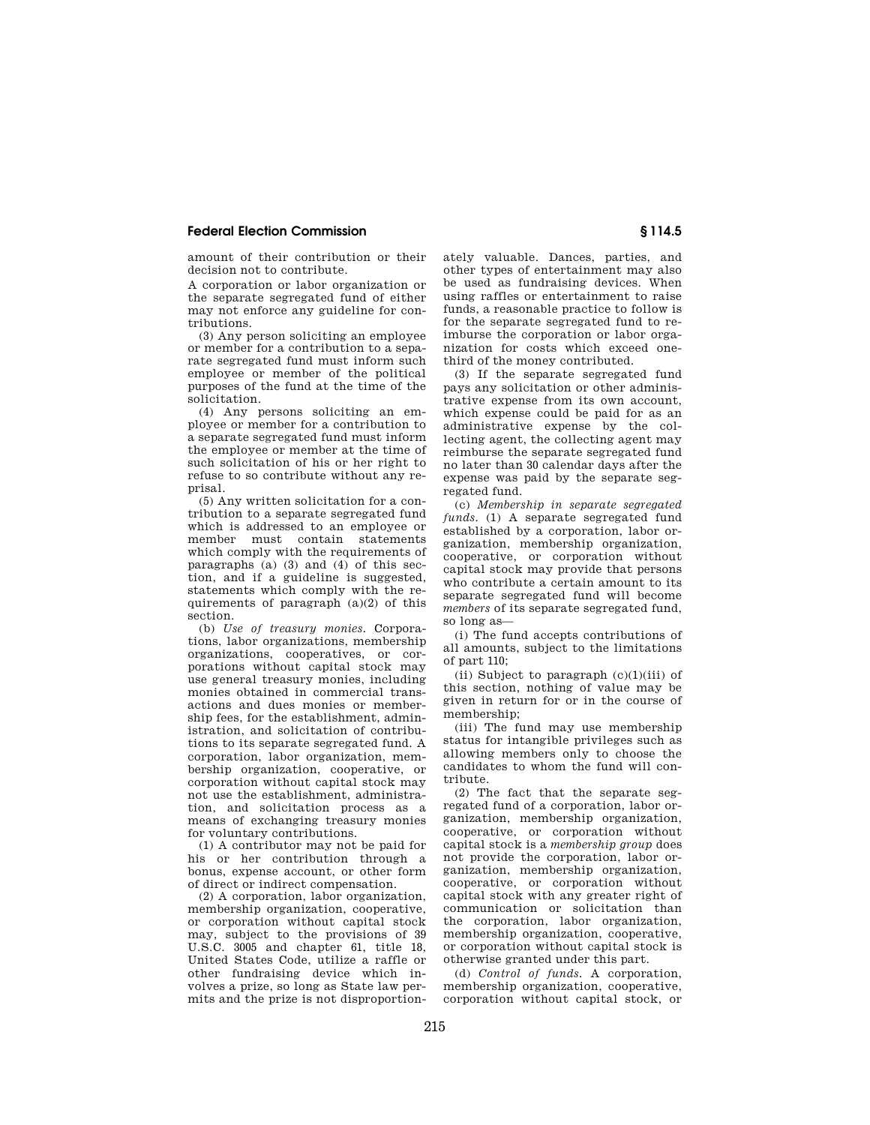amount of their contribution or their decision not to contribute.

A corporation or labor organization or the separate segregated fund of either may not enforce any guideline for contributions.

(3) Any person soliciting an employee or member for a contribution to a separate segregated fund must inform such employee or member of the political purposes of the fund at the time of the solicitation.

(4) Any persons soliciting an employee or member for a contribution to a separate segregated fund must inform the employee or member at the time of such solicitation of his or her right to refuse to so contribute without any reprisal.

(5) Any written solicitation for a contribution to a separate segregated fund which is addressed to an employee or member must contain statements which comply with the requirements of paragraphs (a) (3) and (4) of this section, and if a guideline is suggested, statements which comply with the requirements of paragraph (a)(2) of this section.

(b) *Use of treasury monies.* Corporations, labor organizations, membership organizations, cooperatives, or corporations without capital stock may use general treasury monies, including monies obtained in commercial transactions and dues monies or membership fees, for the establishment, administration, and solicitation of contributions to its separate segregated fund. A corporation, labor organization, membership organization, cooperative, or corporation without capital stock may not use the establishment, administration, and solicitation process as a means of exchanging treasury monies for voluntary contributions.

(1) A contributor may not be paid for his or her contribution through a bonus, expense account, or other form of direct or indirect compensation.

(2) A corporation, labor organization, membership organization, cooperative, or corporation without capital stock may, subject to the provisions of 39 U.S.C. 3005 and chapter 61, title 18, United States Code, utilize a raffle or other fundraising device which involves a prize, so long as State law permits and the prize is not disproportionately valuable. Dances, parties, and other types of entertainment may also be used as fundraising devices. When using raffles or entertainment to raise funds, a reasonable practice to follow is for the separate segregated fund to reimburse the corporation or labor organization for costs which exceed onethird of the money contributed.

(3) If the separate segregated fund pays any solicitation or other administrative expense from its own account, which expense could be paid for as an administrative expense by the collecting agent, the collecting agent may reimburse the separate segregated fund no later than 30 calendar days after the expense was paid by the separate segregated fund.

(c) *Membership in separate segregated funds.* (1) A separate segregated fund established by a corporation, labor organization, membership organization, cooperative, or corporation without capital stock may provide that persons who contribute a certain amount to its separate segregated fund will become *members* of its separate segregated fund, so long as—

(i) The fund accepts contributions of all amounts, subject to the limitations of part 110;

(ii) Subject to paragraph  $(c)(1)(iii)$  of this section, nothing of value may be given in return for or in the course of membership;

(iii) The fund may use membership status for intangible privileges such as allowing members only to choose the candidates to whom the fund will contribute.

(2) The fact that the separate segregated fund of a corporation, labor organization, membership organization, cooperative, or corporation without capital stock is a *membership group* does not provide the corporation, labor organization, membership organization, cooperative, or corporation without capital stock with any greater right of communication or solicitation than the corporation, labor organization, membership organization, cooperative, or corporation without capital stock is otherwise granted under this part.

(d) *Control of funds.* A corporation, membership organization, cooperative, corporation without capital stock, or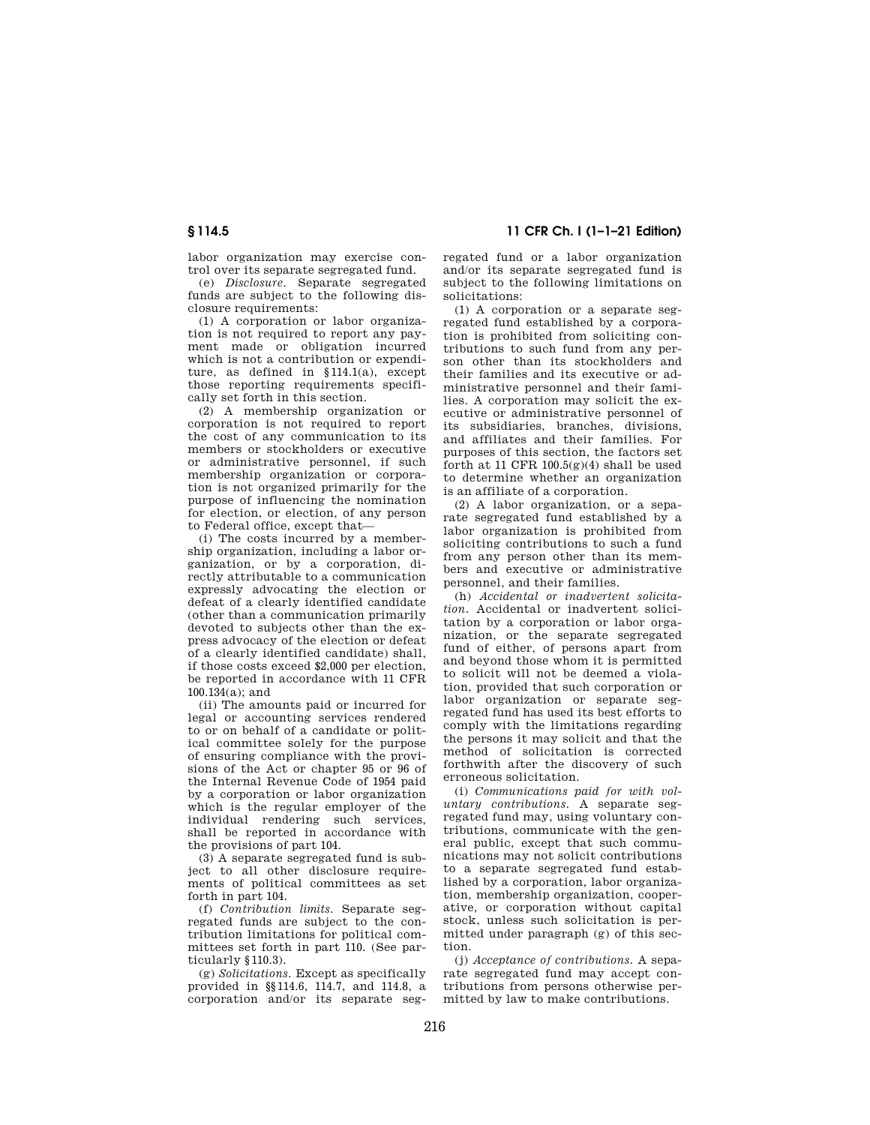labor organization may exercise control over its separate segregated fund.

(e) *Disclosure.* Separate segregated funds are subject to the following disclosure requirements:

(1) A corporation or labor organization is not required to report any payment made or obligation incurred which is not a contribution or expenditure, as defined in §114.1(a), except those reporting requirements specifically set forth in this section.

(2) A membership organization or corporation is not required to report the cost of any communication to its members or stockholders or executive or administrative personnel, if such membership organization or corporation is not organized primarily for the purpose of influencing the nomination for election, or election, of any person to Federal office, except that—

(i) The costs incurred by a membership organization, including a labor organization, or by a corporation, directly attributable to a communication expressly advocating the election or defeat of a clearly identified candidate (other than a communication primarily devoted to subjects other than the express advocacy of the election or defeat of a clearly identified candidate) shall, if those costs exceed \$2,000 per election, be reported in accordance with 11 CFR 100.134(a); and

(ii) The amounts paid or incurred for legal or accounting services rendered to or on behalf of a candidate or political committee solely for the purpose of ensuring compliance with the provisions of the Act or chapter 95 or 96 of the Internal Revenue Code of 1954 paid by a corporation or labor organization which is the regular employer of the individual rendering such services, shall be reported in accordance with the provisions of part 104.

(3) A separate segregated fund is subject to all other disclosure requirements of political committees as set forth in part 104.

(f) *Contribution limits.* Separate segregated funds are subject to the contribution limitations for political committees set forth in part 110. (See particularly §110.3).

(g) *Solicitations.* Except as specifically provided in §§114.6, 114.7, and 114.8, a corporation and/or its separate seg-

**§ 114.5 11 CFR Ch. I (1–1–21 Edition)** 

regated fund or a labor organization and/or its separate segregated fund is subject to the following limitations on solicitations:

(1) A corporation or a separate segregated fund established by a corporation is prohibited from soliciting contributions to such fund from any person other than its stockholders and their families and its executive or administrative personnel and their families. A corporation may solicit the executive or administrative personnel of its subsidiaries, branches, divisions, and affiliates and their families. For purposes of this section, the factors set forth at 11 CFR  $100.5(g)(4)$  shall be used to determine whether an organization is an affiliate of a corporation.

(2) A labor organization, or a separate segregated fund established by a labor organization is prohibited from soliciting contributions to such a fund from any person other than its members and executive or administrative personnel, and their families.

(h) *Accidental or inadvertent solicitation.* Accidental or inadvertent solicitation by a corporation or labor organization, or the separate segregated fund of either, of persons apart from and beyond those whom it is permitted to solicit will not be deemed a violation, provided that such corporation or labor organization or separate segregated fund has used its best efforts to comply with the limitations regarding the persons it may solicit and that the method of solicitation is corrected forthwith after the discovery of such erroneous solicitation.

(i) *Communications paid for with voluntary contributions.* A separate segregated fund may, using voluntary contributions, communicate with the general public, except that such communications may not solicit contributions to a separate segregated fund established by a corporation, labor organization, membership organization, cooperative, or corporation without capital stock, unless such solicitation is permitted under paragraph (g) of this section.

(j) *Acceptance of contributions.* A separate segregated fund may accept contributions from persons otherwise permitted by law to make contributions.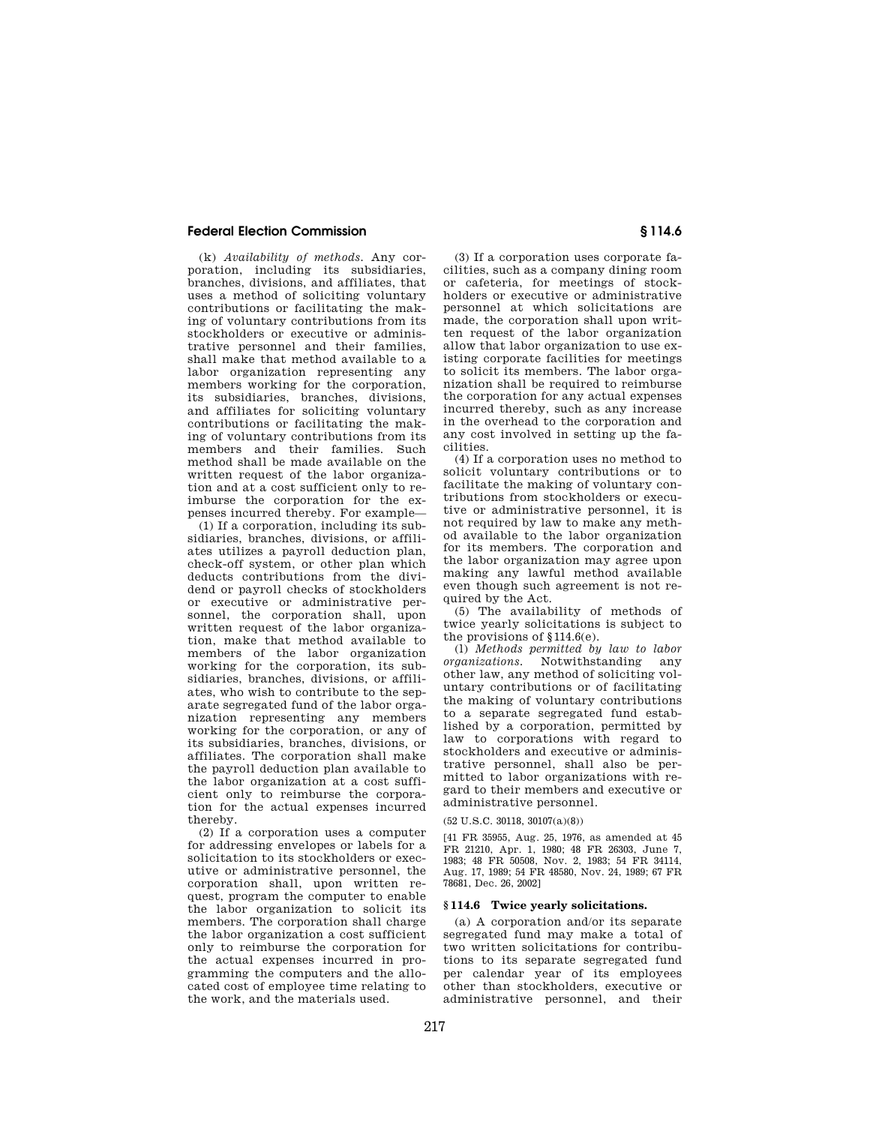(k) *Availability of methods.* Any corporation, including its subsidiaries, branches, divisions, and affiliates, that uses a method of soliciting voluntary contributions or facilitating the making of voluntary contributions from its stockholders or executive or administrative personnel and their families, shall make that method available to a labor organization representing any members working for the corporation, its subsidiaries, branches, divisions, and affiliates for soliciting voluntary contributions or facilitating the making of voluntary contributions from its members and their families. Such method shall be made available on the written request of the labor organization and at a cost sufficient only to reimburse the corporation for the expenses incurred thereby. For example—

(1) If a corporation, including its subsidiaries, branches, divisions, or affiliates utilizes a payroll deduction plan, check-off system, or other plan which deducts contributions from the dividend or payroll checks of stockholders or executive or administrative personnel, the corporation shall, upon written request of the labor organization, make that method available to members of the labor organization working for the corporation, its subsidiaries, branches, divisions, or affiliates, who wish to contribute to the separate segregated fund of the labor organization representing any members working for the corporation, or any of its subsidiaries, branches, divisions, or affiliates. The corporation shall make the payroll deduction plan available to the labor organization at a cost sufficient only to reimburse the corporation for the actual expenses incurred thereby.

(2) If a corporation uses a computer for addressing envelopes or labels for a solicitation to its stockholders or executive or administrative personnel, the corporation shall, upon written request, program the computer to enable the labor organization to solicit its members. The corporation shall charge the labor organization a cost sufficient only to reimburse the corporation for the actual expenses incurred in programming the computers and the allocated cost of employee time relating to the work, and the materials used.

(3) If a corporation uses corporate facilities, such as a company dining room or cafeteria, for meetings of stockholders or executive or administrative personnel at which solicitations are made, the corporation shall upon written request of the labor organization allow that labor organization to use existing corporate facilities for meetings to solicit its members. The labor organization shall be required to reimburse the corporation for any actual expenses incurred thereby, such as any increase in the overhead to the corporation and any cost involved in setting up the facilities.

(4) If a corporation uses no method to solicit voluntary contributions or to facilitate the making of voluntary contributions from stockholders or executive or administrative personnel, it is not required by law to make any method available to the labor organization for its members. The corporation and the labor organization may agree upon making any lawful method available even though such agreement is not required by the Act.

(5) The availability of methods of twice yearly solicitations is subject to the provisions of §114.6(e).

(l) *Methods permitted by law to labor organizations.* Notwithstanding any other law, any method of soliciting voluntary contributions or of facilitating the making of voluntary contributions to a separate segregated fund established by a corporation, permitted by law to corporations with regard to stockholders and executive or administrative personnel, shall also be permitted to labor organizations with regard to their members and executive or administrative personnel.

(52 U.S.C. 30118, 30107(a)(8))

[41 FR 35955, Aug. 25, 1976, as amended at 45 FR 21210, Apr. 1, 1980; 48 FR 26303, June 7, 1983; 48 FR 50508, Nov. 2, 1983; 54 FR 34114, Aug. 17, 1989; 54 FR 48580, Nov. 24, 1989; 67 FR 78681, Dec. 26, 2002]

#### **§ 114.6 Twice yearly solicitations.**

(a) A corporation and/or its separate segregated fund may make a total of two written solicitations for contributions to its separate segregated fund per calendar year of its employees other than stockholders, executive or administrative personnel, and their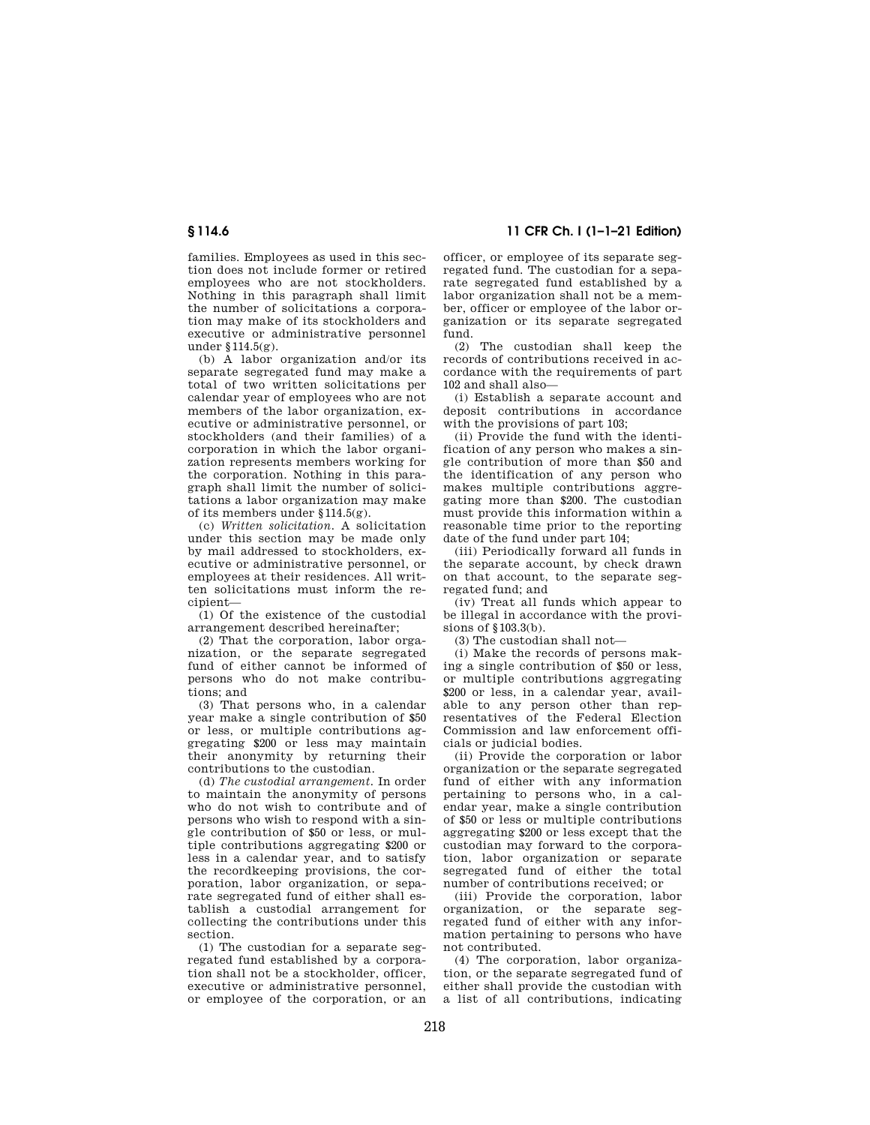families. Employees as used in this section does not include former or retired employees who are not stockholders. Nothing in this paragraph shall limit the number of solicitations a corporation may make of its stockholders and executive or administrative personnel under §114.5(g).

(b) A labor organization and/or its separate segregated fund may make a total of two written solicitations per calendar year of employees who are not members of the labor organization, executive or administrative personnel, or stockholders (and their families) of a corporation in which the labor organization represents members working for the corporation. Nothing in this paragraph shall limit the number of solicitations a labor organization may make of its members under §114.5(g).

(c) *Written solicitation.* A solicitation under this section may be made only by mail addressed to stockholders, executive or administrative personnel, or employees at their residences. All written solicitations must inform the recipient—

(1) Of the existence of the custodial arrangement described hereinafter;

(2) That the corporation, labor organization, or the separate segregated fund of either cannot be informed of persons who do not make contributions; and

(3) That persons who, in a calendar year make a single contribution of \$50 or less, or multiple contributions aggregating \$200 or less may maintain their anonymity by returning their contributions to the custodian.

(d) *The custodial arrangement.* In order to maintain the anonymity of persons who do not wish to contribute and of persons who wish to respond with a single contribution of \$50 or less, or multiple contributions aggregating \$200 or less in a calendar year, and to satisfy the recordkeeping provisions, the corporation, labor organization, or separate segregated fund of either shall establish a custodial arrangement for collecting the contributions under this section.

(1) The custodian for a separate segregated fund established by a corporation shall not be a stockholder, officer executive or administrative personnel, or employee of the corporation, or an

**§ 114.6 11 CFR Ch. I (1–1–21 Edition)** 

officer, or employee of its separate segregated fund. The custodian for a separate segregated fund established by a labor organization shall not be a member, officer or employee of the labor organization or its separate segregated fund.

(2) The custodian shall keep the records of contributions received in accordance with the requirements of part 102 and shall also—

(i) Establish a separate account and deposit contributions in accordance with the provisions of part 103;

(ii) Provide the fund with the identification of any person who makes a single contribution of more than \$50 and the identification of any person who makes multiple contributions aggregating more than \$200. The custodian must provide this information within a reasonable time prior to the reporting date of the fund under part 104;

(iii) Periodically forward all funds in the separate account, by check drawn on that account, to the separate segregated fund; and

(iv) Treat all funds which appear to be illegal in accordance with the provisions of §103.3(b).

(3) The custodian shall not—

(i) Make the records of persons making a single contribution of \$50 or less, or multiple contributions aggregating \$200 or less, in a calendar year, available to any person other than representatives of the Federal Election Commission and law enforcement officials or judicial bodies.

(ii) Provide the corporation or labor organization or the separate segregated fund of either with any information pertaining to persons who, in a calendar year, make a single contribution of \$50 or less or multiple contributions aggregating \$200 or less except that the custodian may forward to the corporation, labor organization or separate segregated fund of either the total number of contributions received; or

(iii) Provide the corporation, labor organization, or the separate segregated fund of either with any information pertaining to persons who have not contributed.

(4) The corporation, labor organization, or the separate segregated fund of either shall provide the custodian with a list of all contributions, indicating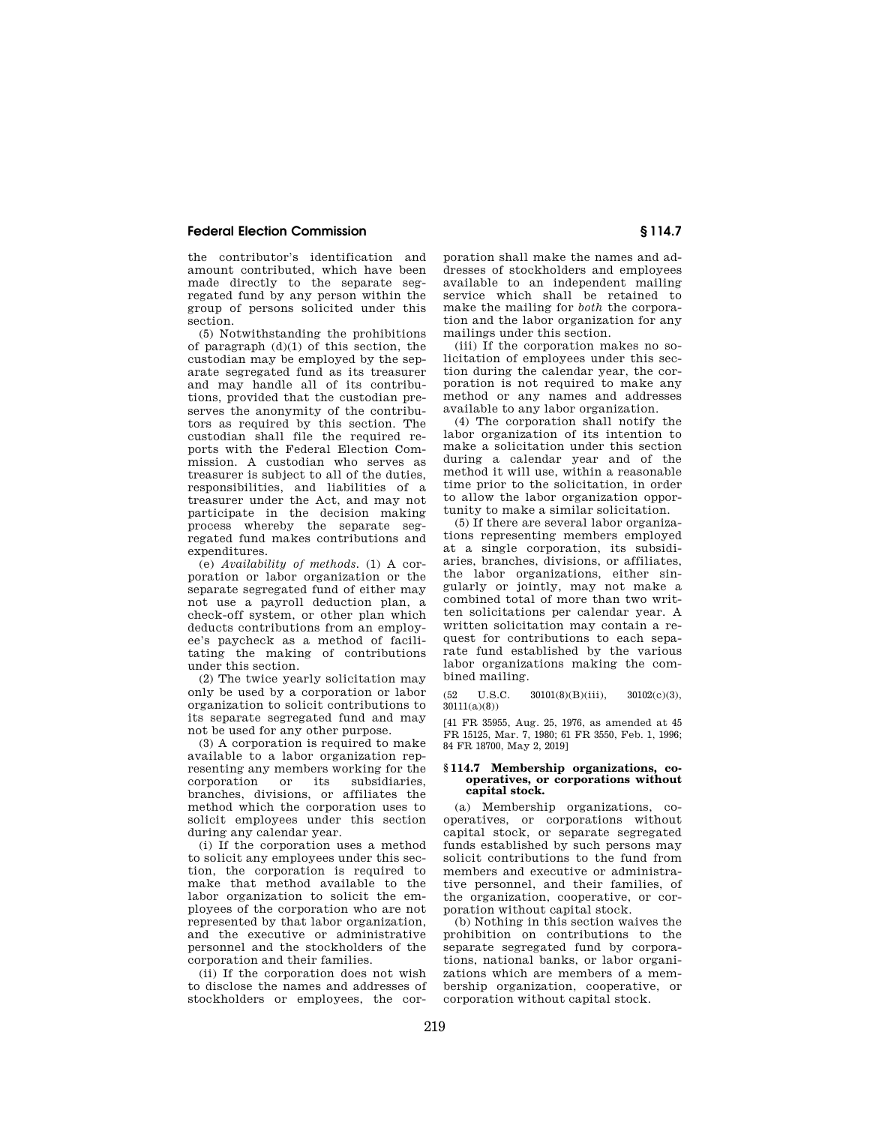the contributor's identification and amount contributed, which have been made directly to the separate segregated fund by any person within the group of persons solicited under this section.

(5) Notwithstanding the prohibitions of paragraph  $(d)(1)$  of this section, the custodian may be employed by the separate segregated fund as its treasurer and may handle all of its contributions, provided that the custodian preserves the anonymity of the contributors as required by this section. The custodian shall file the required reports with the Federal Election Commission. A custodian who serves as treasurer is subject to all of the duties, responsibilities, and liabilities of a treasurer under the Act, and may not participate in the decision making process whereby the separate segregated fund makes contributions and expenditures

(e) *Availability of methods.* (1) A corporation or labor organization or the separate segregated fund of either may not use a payroll deduction plan, a check-off system, or other plan which deducts contributions from an employee's paycheck as a method of facilitating the making of contributions under this section.

(2) The twice yearly solicitation may only be used by a corporation or labor organization to solicit contributions to its separate segregated fund and may not be used for any other purpose.

(3) A corporation is required to make available to a labor organization representing any members working for the<br>cornoration or its subsidiaries corporation or its subsidiaries, branches, divisions, or affiliates the method which the corporation uses to solicit employees under this section during any calendar year.

(i) If the corporation uses a method to solicit any employees under this section, the corporation is required to make that method available to the labor organization to solicit the employees of the corporation who are not represented by that labor organization, and the executive or administrative personnel and the stockholders of the corporation and their families.

(ii) If the corporation does not wish to disclose the names and addresses of stockholders or employees, the cor-

poration shall make the names and addresses of stockholders and employees available to an independent mailing service which shall be retained to make the mailing for *both* the corporation and the labor organization for any mailings under this section.

(iii) If the corporation makes no solicitation of employees under this section during the calendar year, the corporation is not required to make any method or any names and addresses available to any labor organization.

(4) The corporation shall notify the labor organization of its intention to make a solicitation under this section during a calendar year and of the method it will use, within a reasonable time prior to the solicitation, in order to allow the labor organization opportunity to make a similar solicitation.

(5) If there are several labor organizations representing members employed at a single corporation, its subsidiaries, branches, divisions, or affiliates, the labor organizations, either singularly or jointly, may not make a combined total of more than two written solicitations per calendar year. A written solicitation may contain a request for contributions to each separate fund established by the various labor organizations making the combined mailing.

 $(52 \text{ U.S.C. } 30101(8)(\text{B})(\text{iii}), \quad 30102(\text{c})(3),$  $30111(a)(8)$ 

[41 FR 35955, Aug. 25, 1976, as amended at 45 FR 15125, Mar. 7, 1980; 61 FR 3550, Feb. 1, 1996; 84 FR 18700, May 2, 2019]

#### **§ 114.7 Membership organizations, cooperatives, or corporations without capital stock.**

(a) Membership organizations, cooperatives, or corporations without capital stock, or separate segregated funds established by such persons may solicit contributions to the fund from members and executive or administrative personnel, and their families, of the organization, cooperative, or corporation without capital stock.

(b) Nothing in this section waives the prohibition on contributions to the separate segregated fund by corporations, national banks, or labor organizations which are members of a membership organization, cooperative, or corporation without capital stock.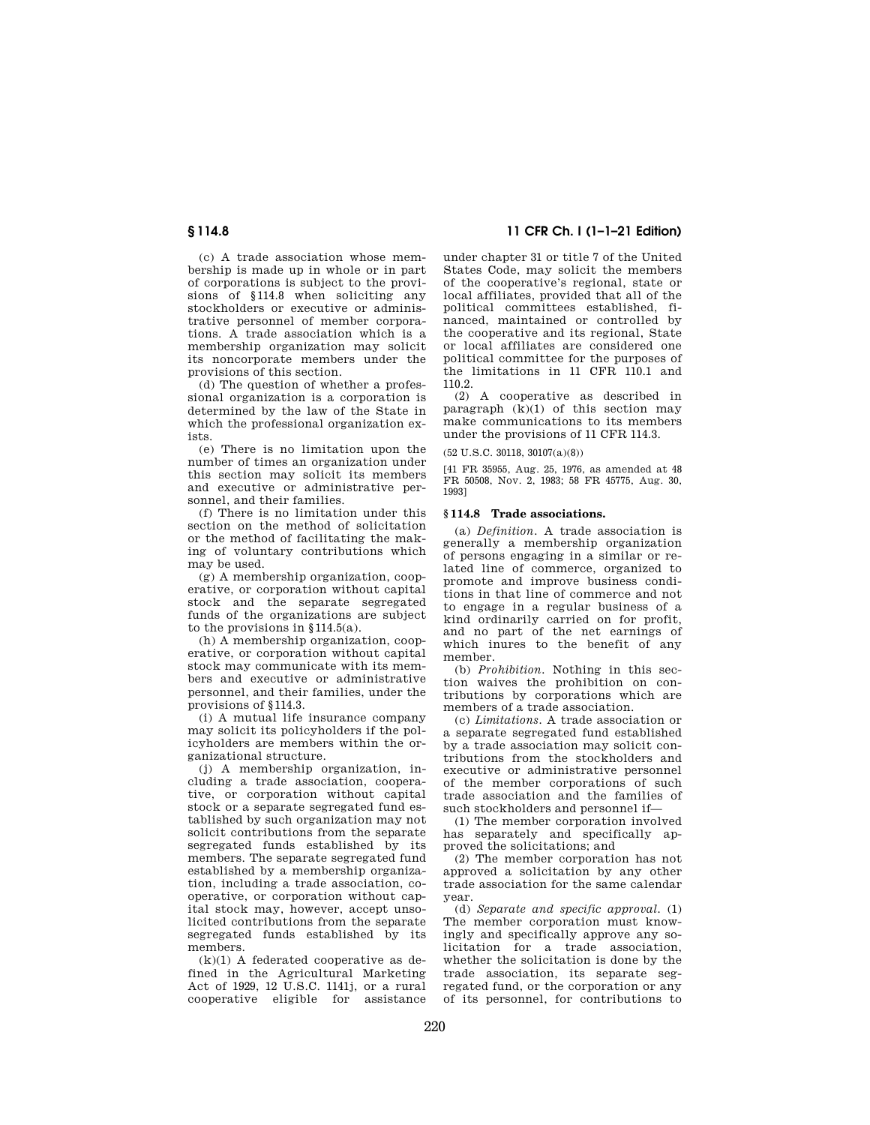(c) A trade association whose membership is made up in whole or in part of corporations is subject to the provisions of §114.8 when soliciting any stockholders or executive or administrative personnel of member corporations. A trade association which is a membership organization may solicit its noncorporate members under the provisions of this section.

(d) The question of whether a professional organization is a corporation is determined by the law of the State in which the professional organization exists.

(e) There is no limitation upon the number of times an organization under this section may solicit its members and executive or administrative personnel, and their families.

(f) There is no limitation under this section on the method of solicitation or the method of facilitating the making of voluntary contributions which may be used.

(g) A membership organization, cooperative, or corporation without capital stock and the separate segregated funds of the organizations are subject to the provisions in §114.5(a).

(h) A membership organization, cooperative, or corporation without capital stock may communicate with its members and executive or administrative personnel, and their families, under the provisions of §114.3.

(i) A mutual life insurance company may solicit its policyholders if the policyholders are members within the organizational structure.

(j) A membership organization, including a trade association, cooperative, or corporation without capital stock or a separate segregated fund established by such organization may not solicit contributions from the separate segregated funds established by its members. The separate segregated fund established by a membership organization, including a trade association, cooperative, or corporation without capital stock may, however, accept unsolicited contributions from the separate segregated funds established by its members.

 $(k)(1)$  A federated cooperative as defined in the Agricultural Marketing Act of 1929, 12 U.S.C. 1141j, or a rural cooperative eligible for assistance

**§ 114.8 11 CFR Ch. I (1–1–21 Edition)** 

under chapter 31 or title 7 of the United States Code, may solicit the members of the cooperative's regional, state or local affiliates, provided that all of the political committees established, financed, maintained or controlled by the cooperative and its regional, State or local affiliates are considered one political committee for the purposes of the limitations in 11 CFR 110.1 and 110.2.

(2) A cooperative as described in paragraph  $(k)(1)$  of this section may make communications to its members under the provisions of 11 CFR 114.3.

(52 U.S.C. 30118, 30107(a)(8))

[41 FR 35955, Aug. 25, 1976, as amended at 48 FR 50508, Nov. 2, 1983; 58 FR 45775, Aug. 30, 1993]

#### **§ 114.8 Trade associations.**

(a) *Definition.* A trade association is generally a membership organization of persons engaging in a similar or related line of commerce, organized to promote and improve business conditions in that line of commerce and not to engage in a regular business of a kind ordinarily carried on for profit, and no part of the net earnings of which inures to the benefit of any member.

(b) *Prohibition.* Nothing in this section waives the prohibition on contributions by corporations which are members of a trade association.

(c) *Limitations.* A trade association or a separate segregated fund established by a trade association may solicit contributions from the stockholders and executive or administrative personnel of the member corporations of such trade association and the families of such stockholders and personnel if—

(1) The member corporation involved has separately and specifically approved the solicitations; and

(2) The member corporation has not approved a solicitation by any other trade association for the same calendar year.

(d) *Separate and specific approval.* (1) The member corporation must knowingly and specifically approve any solicitation for a trade association, whether the solicitation is done by the trade association, its separate segregated fund, or the corporation or any of its personnel, for contributions to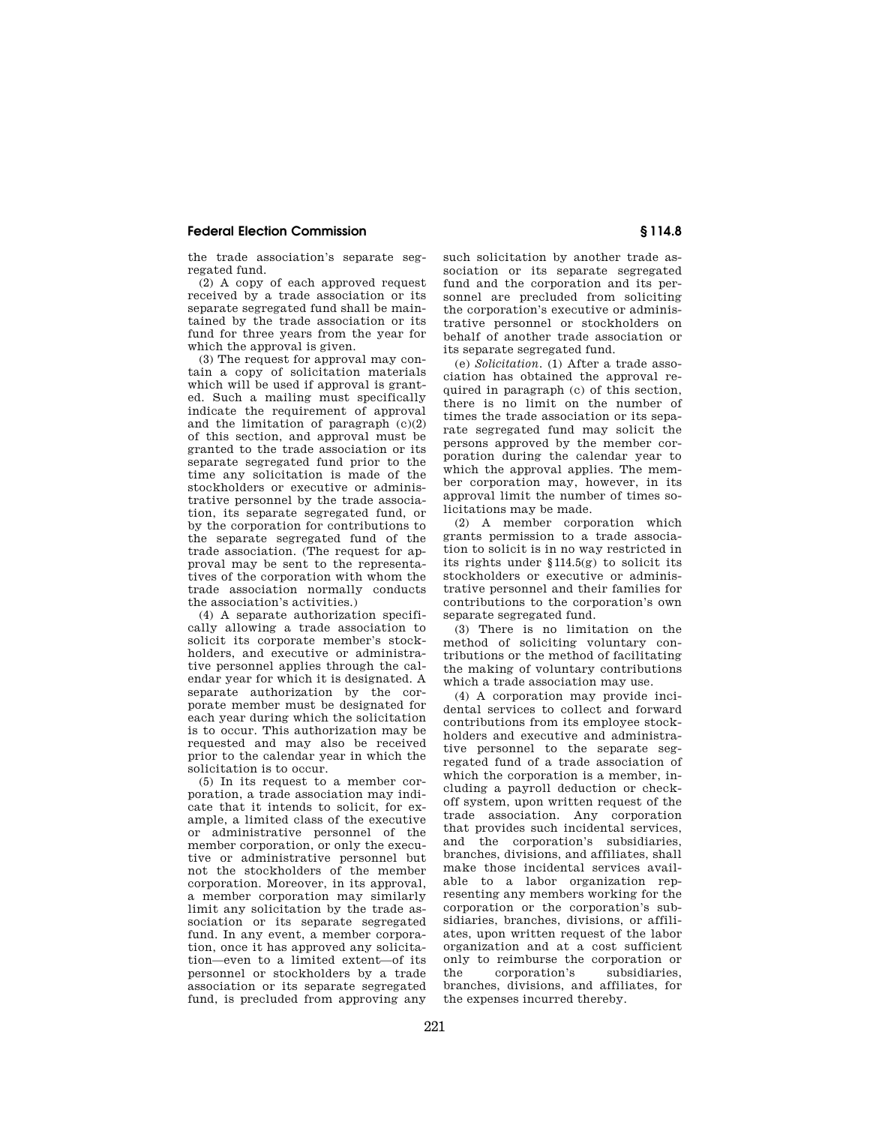the trade association's separate segregated fund.

(2) A copy of each approved request received by a trade association or its separate segregated fund shall be maintained by the trade association or its fund for three years from the year for which the approval is given.

(3) The request for approval may contain a copy of solicitation materials which will be used if approval is granted. Such a mailing must specifically indicate the requirement of approval and the limitation of paragraph  $(c)(2)$ of this section, and approval must be granted to the trade association or its separate segregated fund prior to the time any solicitation is made of the stockholders or executive or administrative personnel by the trade association, its separate segregated fund, or by the corporation for contributions to the separate segregated fund of the trade association. (The request for approval may be sent to the representatives of the corporation with whom the trade association normally conducts the association's activities.)

(4) A separate authorization specifically allowing a trade association to solicit its corporate member's stockholders, and executive or administrative personnel applies through the calendar year for which it is designated. A separate authorization by the corporate member must be designated for each year during which the solicitation is to occur. This authorization may be requested and may also be received prior to the calendar year in which the solicitation is to occur.

 $(5)$  In its request to a member corporation, a trade association may indicate that it intends to solicit, for example, a limited class of the executive or administrative personnel of the member corporation, or only the executive or administrative personnel but not the stockholders of the member corporation. Moreover, in its approval, a member corporation may similarly limit any solicitation by the trade association or its separate segregated fund. In any event, a member corporation, once it has approved any solicitation—even to a limited extent—of its personnel or stockholders by a trade association or its separate segregated fund, is precluded from approving any

such solicitation by another trade association or its separate segregated fund and the corporation and its personnel are precluded from soliciting the corporation's executive or administrative personnel or stockholders on behalf of another trade association or its separate segregated fund.

(e) *Solicitation.* (1) After a trade association has obtained the approval required in paragraph (c) of this section, there is no limit on the number of times the trade association or its separate segregated fund may solicit the persons approved by the member corporation during the calendar year to which the approval applies. The member corporation may, however, in its approval limit the number of times solicitations may be made.

(2) A member corporation which grants permission to a trade association to solicit is in no way restricted in its rights under §114.5(g) to solicit its stockholders or executive or administrative personnel and their families for contributions to the corporation's own separate segregated fund.

(3) There is no limitation on the method of soliciting voluntary contributions or the method of facilitating the making of voluntary contributions which a trade association may use.

(4) A corporation may provide incidental services to collect and forward contributions from its employee stockholders and executive and administrative personnel to the separate segregated fund of a trade association of which the corporation is a member, including a payroll deduction or checkoff system, upon written request of the trade association. Any corporation that provides such incidental services, and the corporation's subsidiaries, branches, divisions, and affiliates, shall make those incidental services available to a labor organization representing any members working for the corporation or the corporation's subsidiaries, branches, divisions, or affiliates, upon written request of the labor organization and at a cost sufficient only to reimburse the corporation or the corporation's subsidiaries, branches, divisions, and affiliates, for the expenses incurred thereby.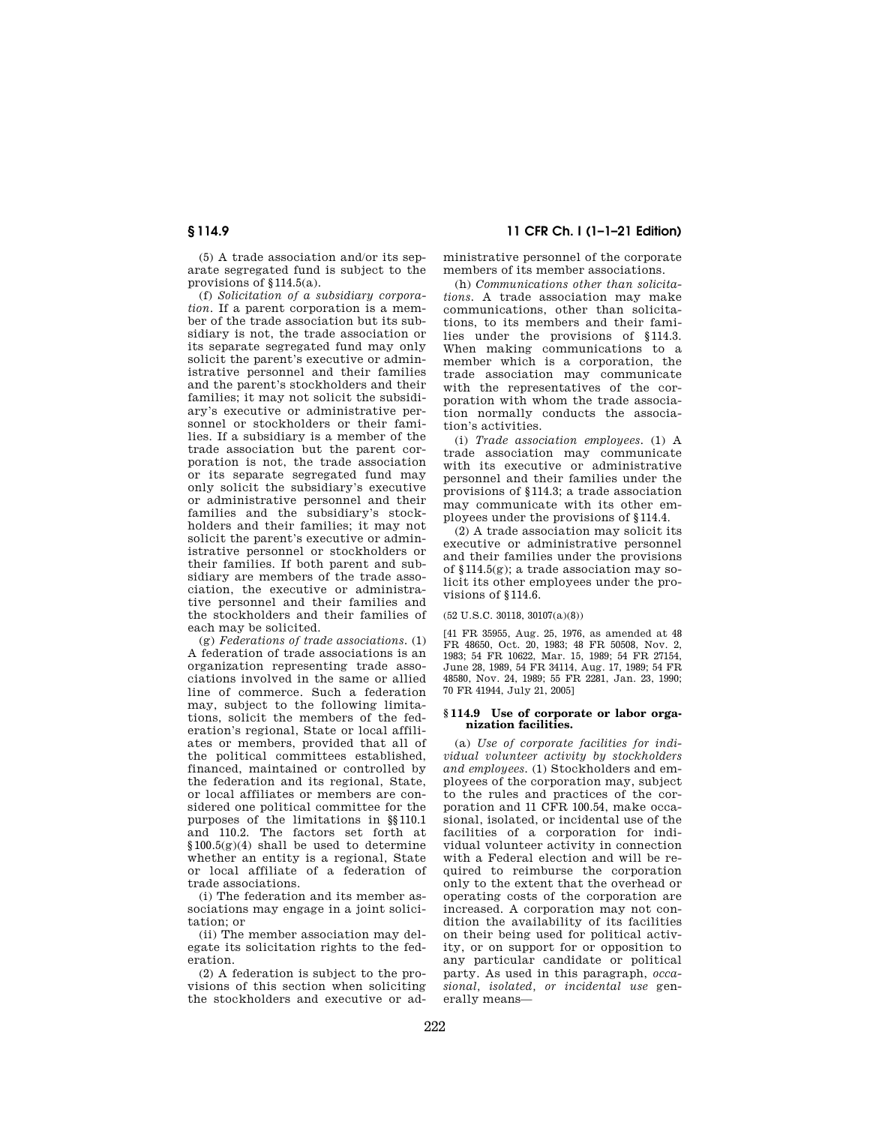(5) A trade association and/or its separate segregated fund is subject to the provisions of §114.5(a).

(f) *Solicitation of a subsidiary corporation.* If a parent corporation is a member of the trade association but its subsidiary is not, the trade association or its separate segregated fund may only solicit the parent's executive or administrative personnel and their families and the parent's stockholders and their families; it may not solicit the subsidiary's executive or administrative personnel or stockholders or their families. If a subsidiary is a member of the trade association but the parent corporation is not, the trade association or its separate segregated fund may only solicit the subsidiary's executive or administrative personnel and their families and the subsidiary's stockholders and their families; it may not solicit the parent's executive or administrative personnel or stockholders or their families. If both parent and subsidiary are members of the trade association, the executive or administrative personnel and their families and the stockholders and their families of each may be solicited.

(g) *Federations of trade associations.* (1) A federation of trade associations is an organization representing trade associations involved in the same or allied line of commerce. Such a federation may, subject to the following limitations, solicit the members of the federation's regional, State or local affiliates or members, provided that all of the political committees established, financed, maintained or controlled by the federation and its regional, State or local affiliates or members are considered one political committee for the purposes of the limitations in §§110.1 and 110.2. The factors set forth at §100.5(g)(4) shall be used to determine whether an entity is a regional, State or local affiliate of a federation of trade associations.

(i) The federation and its member associations may engage in a joint solicitation; or

(ii) The member association may delegate its solicitation rights to the federation.

(2) A federation is subject to the provisions of this section when soliciting the stockholders and executive or ad-

# **§ 114.9 11 CFR Ch. I (1–1–21 Edition)**

ministrative personnel of the corporate members of its member associations.

(h) *Communications other than solicitations.* A trade association may make communications, other than solicitations, to its members and their families under the provisions of §114.3. When making communications to a member which is a corporation, the trade association may communicate with the representatives of the corporation with whom the trade association normally conducts the association's activities.

(i) *Trade association employees.* (1) A trade association may communicate with its executive or administrative personnel and their families under the provisions of §114.3; a trade association may communicate with its other employees under the provisions of §114.4.

(2) A trade association may solicit its executive or administrative personnel and their families under the provisions of §114.5(g); a trade association may solicit its other employees under the provisions of §114.6.

(52 U.S.C. 30118, 30107(a)(8))

[41 FR 35955, Aug. 25, 1976, as amended at 48 FR 48650, Oct. 20, 1983; 48 FR 50508, Nov. 2, 1983; 54 FR 10622, Mar. 15, 1989; 54 FR 27154, June 28, 1989, 54 FR 34114, Aug. 17, 1989; 54 FR 48580, Nov. 24, 1989; 55 FR 2281, Jan. 23, 1990; 70 FR 41944, July 21, 2005]

#### **§ 114.9 Use of corporate or labor organization facilities.**

(a) *Use of corporate facilities for individual volunteer activity by stockholders and employees.* (1) Stockholders and employees of the corporation may, subject to the rules and practices of the corporation and 11 CFR 100.54, make occasional, isolated, or incidental use of the facilities of a corporation for individual volunteer activity in connection with a Federal election and will be required to reimburse the corporation only to the extent that the overhead or operating costs of the corporation are increased. A corporation may not condition the availability of its facilities on their being used for political activity, or on support for or opposition to any particular candidate or political party. As used in this paragraph, *occasional, isolated, or incidental use* generally means—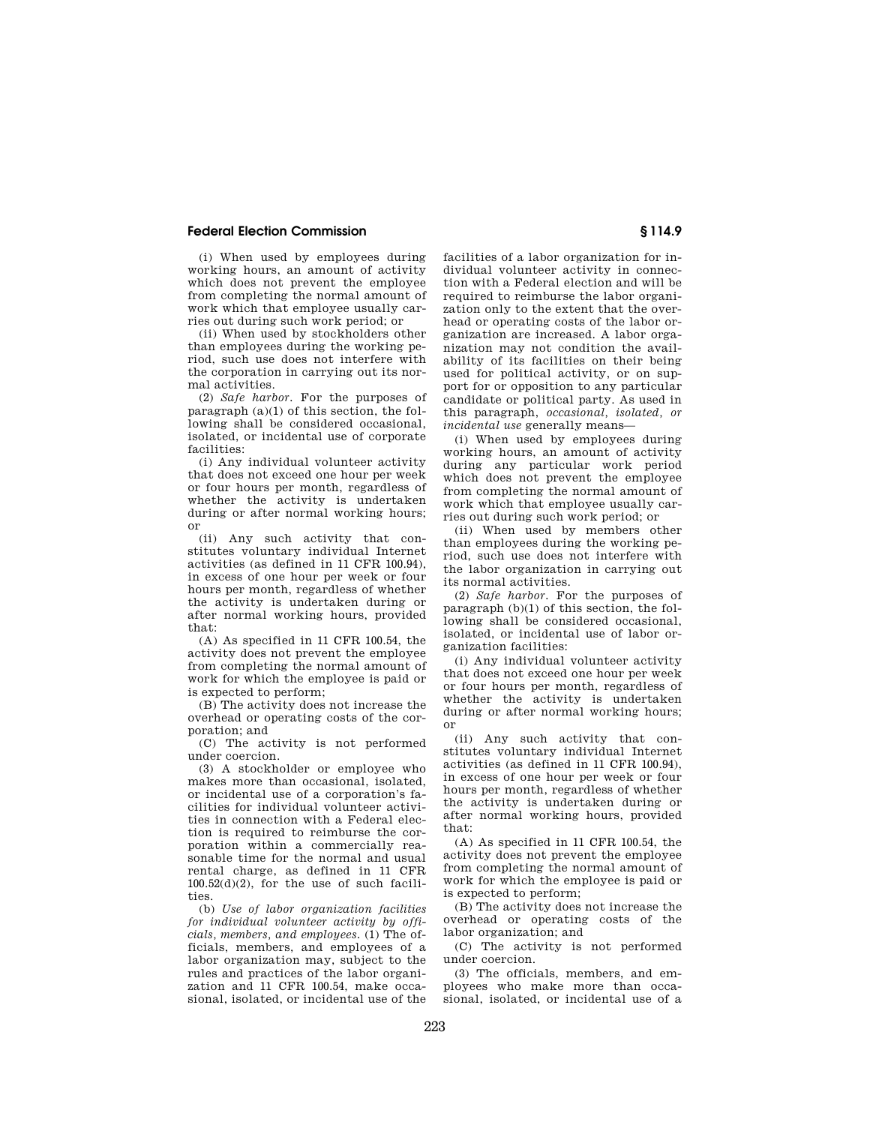(i) When used by employees during working hours, an amount of activity which does not prevent the employee from completing the normal amount of work which that employee usually carries out during such work period; or

(ii) When used by stockholders other than employees during the working period, such use does not interfere with the corporation in carrying out its normal activities.

(2) *Safe harbor.* For the purposes of paragraph  $(a)(1)$  of this section, the following shall be considered occasional, isolated, or incidental use of corporate facilities:

(i) Any individual volunteer activity that does not exceed one hour per week or four hours per month, regardless of whether the activity is undertaken during or after normal working hours; or

(ii) Any such activity that constitutes voluntary individual Internet activities (as defined in 11 CFR 100.94), in excess of one hour per week or four hours per month, regardless of whether the activity is undertaken during or after normal working hours, provided that:

(A) As specified in 11 CFR 100.54, the activity does not prevent the employee from completing the normal amount of work for which the employee is paid or is expected to perform;

(B) The activity does not increase the overhead or operating costs of the corporation; and

(C) The activity is not performed under coercion.

(3) A stockholder or employee who makes more than occasional, isolated, or incidental use of a corporation's facilities for individual volunteer activities in connection with a Federal election is required to reimburse the corporation within a commercially reasonable time for the normal and usual rental charge, as defined in 11 CFR  $100.52(d)(2)$ , for the use of such facilities.

(b) *Use of labor organization facilities for individual volunteer activity by officials, members, and employees.* (1) The officials, members, and employees of a labor organization may, subject to the rules and practices of the labor organization and 11 CFR 100.54, make occasional, isolated, or incidental use of the facilities of a labor organization for individual volunteer activity in connection with a Federal election and will be required to reimburse the labor organization only to the extent that the overhead or operating costs of the labor organization are increased. A labor organization may not condition the availability of its facilities on their being used for political activity, or on support for or opposition to any particular candidate or political party. As used in this paragraph, *occasional, isolated, or incidental use* generally means—

(i) When used by employees during working hours, an amount of activity during any particular work period which does not prevent the employee from completing the normal amount of work which that employee usually carries out during such work period; or

(ii) When used by members other than employees during the working period, such use does not interfere with the labor organization in carrying out its normal activities.

(2) *Safe harbor.* For the purposes of paragraph (b)(1) of this section, the following shall be considered occasional, isolated, or incidental use of labor organization facilities:

(i) Any individual volunteer activity that does not exceed one hour per week or four hours per month, regardless of whether the activity is undertaken during or after normal working hours; or

(ii) Any such activity that constitutes voluntary individual Internet activities (as defined in 11 CFR 100.94), in excess of one hour per week or four hours per month, regardless of whether the activity is undertaken during or after normal working hours, provided that:

(A) As specified in 11 CFR 100.54, the activity does not prevent the employee from completing the normal amount of work for which the employee is paid or is expected to perform;

(B) The activity does not increase the overhead or operating costs of the labor organization; and

(C) The activity is not performed under coercion.

(3) The officials, members, and employees who make more than occasional, isolated, or incidental use of a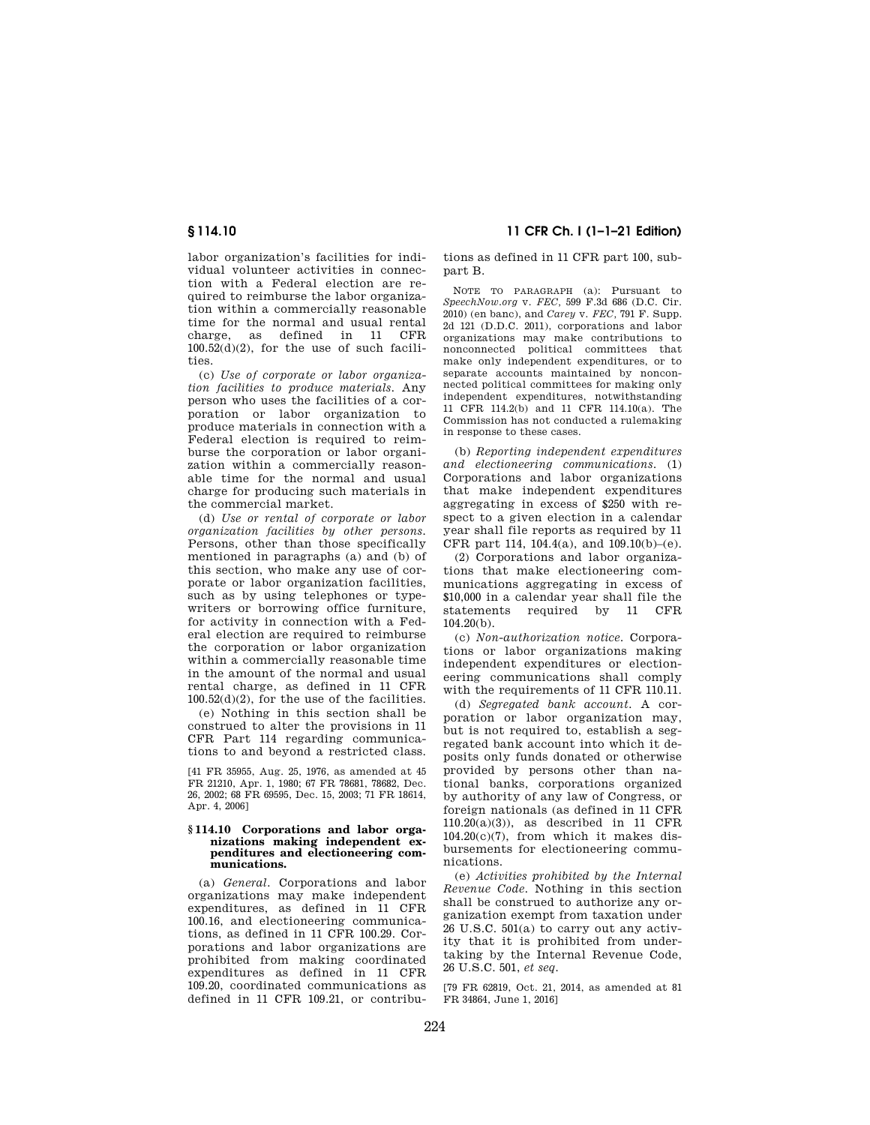labor organization's facilities for individual volunteer activities in connection with a Federal election are required to reimburse the labor organization within a commercially reasonable time for the normal and usual rental charge, as defined in 11 CFR  $100.52(d)(2)$ , for the use of such facilities.

(c) *Use of corporate or labor organization facilities to produce materials.* Any person who uses the facilities of a cor--<br>poration or labor organization to produce materials in connection with a Federal election is required to reimburse the corporation or labor organization within a commercially reasonable time for the normal and usual charge for producing such materials in the commercial market.

(d) *Use or rental of corporate or labor organization facilities by other persons.*  Persons, other than those specifically mentioned in paragraphs (a) and (b) of this section, who make any use of corporate or labor organization facilities, such as by using telephones or typewriters or borrowing office furniture, for activity in connection with a Federal election are required to reimburse the corporation or labor organization within a commercially reasonable time in the amount of the normal and usual rental charge, as defined in 11 CFR 100.52(d)(2), for the use of the facilities.

(e) Nothing in this section shall be construed to alter the provisions in 11 CFR Part 114 regarding communications to and beyond a restricted class.

[41 FR 35955, Aug. 25, 1976, as amended at 45 FR 21210, Apr. 1, 1980; 67 FR 78681, 78682, Dec. 26, 2002; 68 FR 69595, Dec. 15, 2003; 71 FR 18614, Apr. 4, 2006]

#### **§ 114.10 Corporations and labor organizations making independent expenditures and electioneering communications.**

(a) *General.* Corporations and labor organizations may make independent expenditures, as defined in 11 CFR 100.16, and electioneering communications, as defined in 11 CFR 100.29. Corporations and labor organizations are prohibited from making coordinated expenditures as defined in 11 CFR 109.20, coordinated communications as defined in 11 CFR 109.21, or contribu-

**§ 114.10 11 CFR Ch. I (1–1–21 Edition)** 

tions as defined in 11 CFR part 100, subpart B.

NOTE TO PARAGRAPH (a): Pursuant to *SpeechNow.org* v. *FEC,* 599 F.3d 686 (D.C. Cir. 2010) (en banc), and *Carey* v. *FEC,* 791 F. Supp. 2d 121 (D.D.C. 2011), corporations and labor organizations may make contributions to nonconnected political committees that make only independent expenditures, or to separate accounts maintained by nonconnected political committees for making only independent expenditures, notwithstanding 11 CFR 114.2(b) and 11 CFR 114.10(a). The Commission has not conducted a rulemaking in response to these cases.

(b) *Reporting independent expenditures and electioneering communications.* (1) Corporations and labor organizations that make independent expenditures aggregating in excess of \$250 with respect to a given election in a calendar year shall file reports as required by 11 CFR part 114, 104.4(a), and 109.10(b)–(e).

(2) Corporations and labor organizations that make electioneering communications aggregating in excess of \$10,000 in a calendar year shall file the statements required by 11 CFR 104.20(b).

(c) *Non-authorization notice.* Corporations or labor organizations making independent expenditures or electioneering communications shall comply with the requirements of 11 CFR 110.11.

(d) *Segregated bank account.* A corporation or labor organization may, but is not required to, establish a segregated bank account into which it deposits only funds donated or otherwise provided by persons other than national banks, corporations organized by authority of any law of Congress, or foreign nationals (as defined in 11 CFR 110.20(a)(3)), as described in 11 CFR 104.20(c)(7), from which it makes disbursements for electioneering communications.

(e) *Activities prohibited by the Internal Revenue Code.* Nothing in this section shall be construed to authorize any organization exempt from taxation under 26 U.S.C. 501(a) to carry out any activity that it is prohibited from undertaking by the Internal Revenue Code, 26 U.S.C. 501, *et seq.* 

[79 FR 62819, Oct. 21, 2014, as amended at 81 FR 34864, June 1, 2016]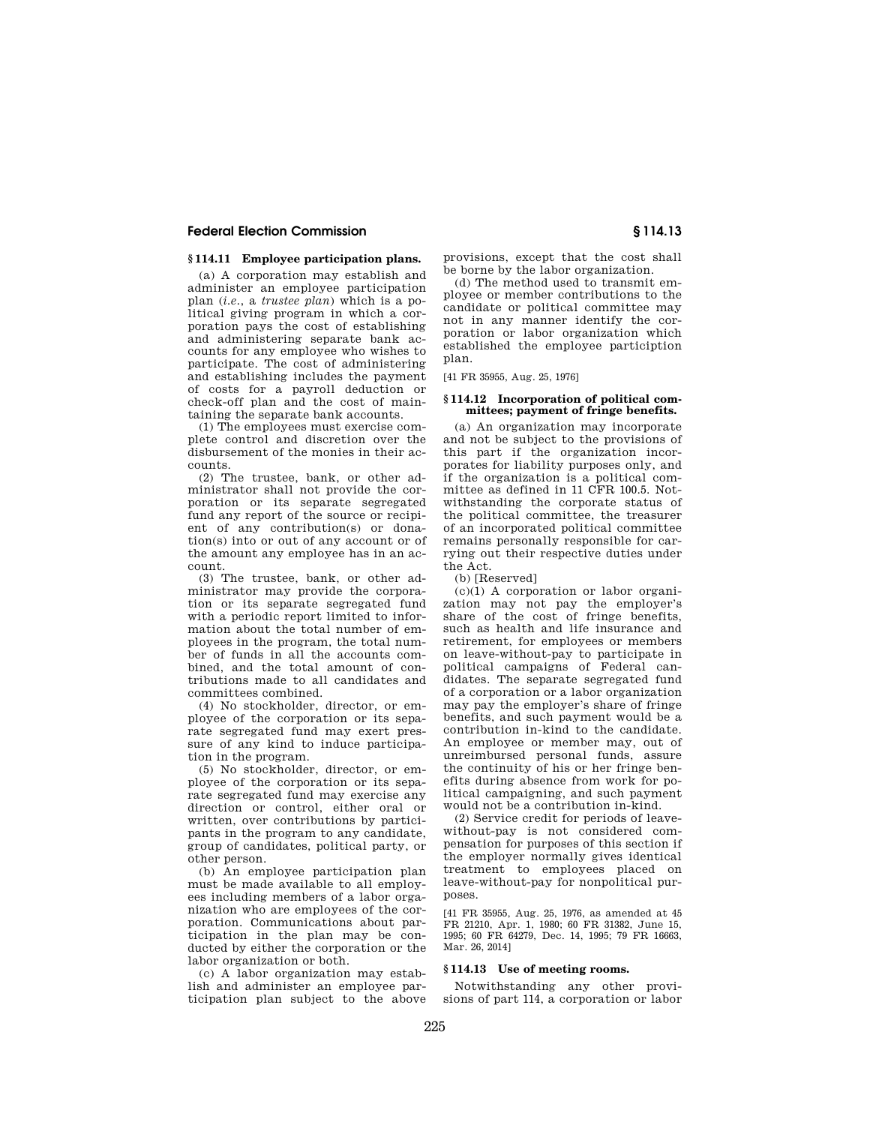# **§ 114.11 Employee participation plans.**

(a) A corporation may establish and administer an employee participation plan (*i.e.*, a *trustee plan*) which is a political giving program in which a corporation pays the cost of establishing and administering separate bank accounts for any employee who wishes to participate. The cost of administering and establishing includes the payment of costs for a payroll deduction or check-off plan and the cost of maintaining the separate bank accounts.

(1) The employees must exercise complete control and discretion over the disbursement of the monies in their accounts.

(2) The trustee, bank, or other administrator shall not provide the corporation or its separate segregated fund any report of the source or recipient of any contribution(s) or donation(s) into or out of any account or of the amount any employee has in an account.

(3) The trustee, bank, or other administrator may provide the corporation or its separate segregated fund with a periodic report limited to information about the total number of employees in the program, the total number of funds in all the accounts combined, and the total amount of contributions made to all candidates and committees combined.

(4) No stockholder, director, or employee of the corporation or its separate segregated fund may exert pressure of any kind to induce participation in the program.

(5) No stockholder, director, or employee of the corporation or its separate segregated fund may exercise any direction or control, either oral or written, over contributions by participants in the program to any candidate, group of candidates, political party, or other person.

(b) An employee participation plan must be made available to all employees including members of a labor organization who are employees of the corporation. Communications about participation in the plan may be conducted by either the corporation or the labor organization or both.

(c) A labor organization may establish and administer an employee participation plan subject to the above provisions, except that the cost shall be borne by the labor organization.

(d) The method used to transmit employee or member contributions to the candidate or political committee may not in any manner identify the corporation or labor organization which established the employee particiption plan.

[41 FR 35955, Aug. 25, 1976]

#### **§ 114.12 Incorporation of political committees; payment of fringe benefits.**

(a) An organization may incorporate and not be subject to the provisions of this part if the organization incorporates for liability purposes only, and if the organization is a political committee as defined in 11 CFR 100.5. Notwithstanding the corporate status of the political committee, the treasurer of an incorporated political committee remains personally responsible for carrying out their respective duties under the Act.

(b) [Reserved]

(c)(1) A corporation or labor organization may not pay the employer's share of the cost of fringe benefits, such as health and life insurance and retirement, for employees or members on leave-without-pay to participate in political campaigns of Federal candidates. The separate segregated fund of a corporation or a labor organization may pay the employer's share of fringe benefits, and such payment would be a contribution in-kind to the candidate. An employee or member may, out of unreimbursed personal funds, assure the continuity of his or her fringe benefits during absence from work for political campaigning, and such payment would not be a contribution in-kind.

(2) Service credit for periods of leavewithout-pay is not considered compensation for purposes of this section if the employer normally gives identical treatment to employees placed on leave-without-pay for nonpolitical purposes.

[41 FR 35955, Aug. 25, 1976, as amended at 45 FR 21210, Apr. 1, 1980; 60 FR 31382, June 15, 1995; 60 FR 64279, Dec. 14, 1995; 79 FR 16663, Mar. 26, 2014]

#### **§ 114.13 Use of meeting rooms.**

Notwithstanding any other provisions of part 114, a corporation or labor